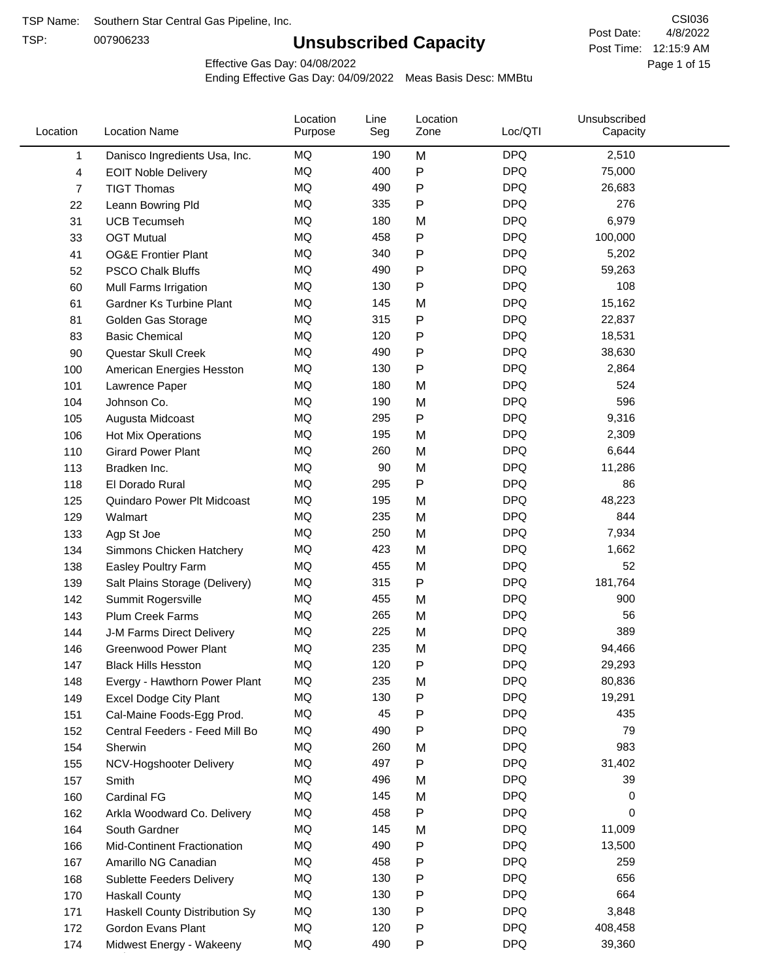TSP:

## **Unsubscribed Capacity**

4/8/2022 Page 1 of 15 Post Time: 12:15:9 AM CSI036 Post Date:

Effective Gas Day: 04/08/2022

| Location | <b>Location Name</b>             | Location<br>Purpose | Line<br>Seg | Location<br>Zone | Loc/QTI    | Unsubscribed<br>Capacity |  |
|----------|----------------------------------|---------------------|-------------|------------------|------------|--------------------------|--|
| 1        | Danisco Ingredients Usa, Inc.    | MQ                  | 190         | M                | <b>DPQ</b> | 2,510                    |  |
| 4        | <b>EOIT Noble Delivery</b>       | MQ                  | 400         | P                | <b>DPQ</b> | 75,000                   |  |
| 7        | <b>TIGT Thomas</b>               | MQ                  | 490         | P                | <b>DPQ</b> | 26,683                   |  |
| 22       | Leann Bowring Pld                | MQ                  | 335         | P                | <b>DPQ</b> | 276                      |  |
| 31       | <b>UCB Tecumseh</b>              | MQ                  | 180         | M                | <b>DPQ</b> | 6,979                    |  |
| 33       | <b>OGT Mutual</b>                | MQ                  | 458         | P                | <b>DPQ</b> | 100,000                  |  |
| 41       | <b>OG&amp;E Frontier Plant</b>   | MQ                  | 340         | P                | <b>DPQ</b> | 5,202                    |  |
| 52       | <b>PSCO Chalk Bluffs</b>         | MQ                  | 490         | P                | <b>DPQ</b> | 59,263                   |  |
| 60       | Mull Farms Irrigation            | MQ                  | 130         | P                | <b>DPQ</b> | 108                      |  |
| 61       | Gardner Ks Turbine Plant         | MQ                  | 145         | M                | <b>DPQ</b> | 15,162                   |  |
| 81       | Golden Gas Storage               | MQ                  | 315         | P                | <b>DPQ</b> | 22,837                   |  |
| 83       | <b>Basic Chemical</b>            | MQ                  | 120         | Ρ                | <b>DPQ</b> | 18,531                   |  |
| 90       | Questar Skull Creek              | MQ                  | 490         | P                | <b>DPQ</b> | 38,630                   |  |
| 100      | American Energies Hesston        | MQ                  | 130         | Ρ                | <b>DPQ</b> | 2,864                    |  |
| 101      | Lawrence Paper                   | MQ                  | 180         | M                | <b>DPQ</b> | 524                      |  |
| 104      | Johnson Co.                      | MQ                  | 190         | M                | <b>DPQ</b> | 596                      |  |
| 105      | Augusta Midcoast                 | MQ                  | 295         | P                | <b>DPQ</b> | 9,316                    |  |
| 106      | Hot Mix Operations               | MQ                  | 195         | M                | <b>DPQ</b> | 2,309                    |  |
| 110      | <b>Girard Power Plant</b>        | MQ                  | 260         | M                | <b>DPQ</b> | 6,644                    |  |
| 113      | Bradken Inc.                     | MQ                  | 90          | M                | <b>DPQ</b> | 11,286                   |  |
| 118      | El Dorado Rural                  | MQ                  | 295         | P                | <b>DPQ</b> | 86                       |  |
| 125      | Quindaro Power Plt Midcoast      | MQ                  | 195         | M                | <b>DPQ</b> | 48,223                   |  |
| 129      | Walmart                          | MQ                  | 235         | M                | <b>DPQ</b> | 844                      |  |
| 133      | Agp St Joe                       | MQ                  | 250         | M                | <b>DPQ</b> | 7,934                    |  |
| 134      | Simmons Chicken Hatchery         | MQ                  | 423         | M                | <b>DPQ</b> | 1,662                    |  |
| 138      | Easley Poultry Farm              | MQ                  | 455         | M                | <b>DPQ</b> | 52                       |  |
| 139      | Salt Plains Storage (Delivery)   | MQ                  | 315         | P                | <b>DPQ</b> | 181,764                  |  |
| 142      | Summit Rogersville               | MQ                  | 455         | M                | <b>DPQ</b> | 900                      |  |
| 143      | Plum Creek Farms                 | MQ                  | 265         | M                | <b>DPQ</b> | 56                       |  |
| 144      | J-M Farms Direct Delivery        | MQ                  | 225         | M                | <b>DPQ</b> | 389                      |  |
| 146      | <b>Greenwood Power Plant</b>     | MQ                  | 235         | M                | <b>DPQ</b> | 94,466                   |  |
| 147      | <b>Black Hills Hesston</b>       | MQ                  | 120         | Ρ                | <b>DPQ</b> | 29,293                   |  |
| 148      | Evergy - Hawthorn Power Plant    | MQ                  | 235         | M                | <b>DPQ</b> | 80,836                   |  |
| 149      | <b>Excel Dodge City Plant</b>    | MQ                  | 130         | P                | <b>DPQ</b> | 19,291                   |  |
| 151      | Cal-Maine Foods-Egg Prod.        | MQ                  | 45          | Ρ                | <b>DPQ</b> | 435                      |  |
| 152      | Central Feeders - Feed Mill Bo   | MQ                  | 490         | P                | <b>DPQ</b> | 79                       |  |
| 154      | Sherwin                          | MQ                  | 260         | M                | <b>DPQ</b> | 983                      |  |
| 155      | NCV-Hogshooter Delivery          | MQ                  | 497         | P                | <b>DPQ</b> | 31,402                   |  |
| 157      | Smith                            | MQ                  | 496         | M                | <b>DPQ</b> | 39                       |  |
| 160      | Cardinal FG                      | MQ                  | 145         | M                | <b>DPQ</b> | 0                        |  |
| 162      | Arkla Woodward Co. Delivery      | MQ                  | 458         | P                | <b>DPQ</b> | 0                        |  |
| 164      | South Gardner                    | MQ                  | 145         | M                | <b>DPQ</b> | 11,009                   |  |
| 166      | Mid-Continent Fractionation      | MQ                  | 490         | P                | <b>DPQ</b> | 13,500                   |  |
| 167      | Amarillo NG Canadian             | MQ                  | 458         | Ρ                | <b>DPQ</b> | 259                      |  |
| 168      | <b>Sublette Feeders Delivery</b> | MQ                  | 130         | Ρ                | <b>DPQ</b> | 656                      |  |
| 170      | <b>Haskall County</b>            | MQ                  | 130         | P                | <b>DPQ</b> | 664                      |  |
| 171      | Haskell County Distribution Sy   | MQ                  | 130         | Ρ                | <b>DPQ</b> | 3,848                    |  |
| 172      | Gordon Evans Plant               | MQ                  | 120         | Ρ                | <b>DPQ</b> | 408,458                  |  |
| 174      | Midwest Energy - Wakeeny         | MQ                  | 490         | P                | <b>DPQ</b> | 39,360                   |  |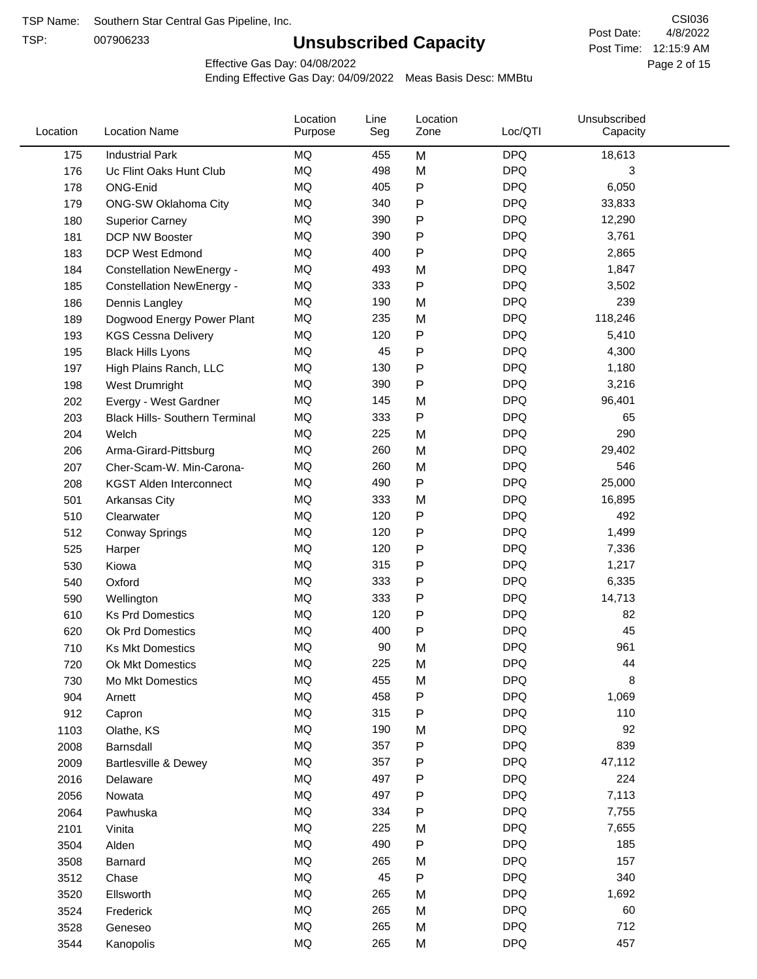TSP:

## **Unsubscribed Capacity**

4/8/2022 Page 2 of 15 Post Time: 12:15:9 AM CSI036 Post Date:

Effective Gas Day: 04/08/2022

| Location | <b>Location Name</b>                  | Location<br>Purpose | Line<br>Seg | Location<br>Zone | Loc/QTI    | Unsubscribed<br>Capacity |  |
|----------|---------------------------------------|---------------------|-------------|------------------|------------|--------------------------|--|
| 175      | <b>Industrial Park</b>                | MQ                  | 455         | M                | <b>DPQ</b> | 18,613                   |  |
| 176      | Uc Flint Oaks Hunt Club               | MQ                  | 498         | M                | <b>DPQ</b> | 3                        |  |
| 178      | ONG-Enid                              | MQ                  | 405         | ${\sf P}$        | <b>DPQ</b> | 6,050                    |  |
| 179      | ONG-SW Oklahoma City                  | MQ                  | 340         | $\mathsf{P}$     | <b>DPQ</b> | 33,833                   |  |
| 180      | <b>Superior Carney</b>                | MQ                  | 390         | P                | <b>DPQ</b> | 12,290                   |  |
| 181      | DCP NW Booster                        | <b>MQ</b>           | 390         | P                | <b>DPQ</b> | 3,761                    |  |
| 183      | <b>DCP West Edmond</b>                | <b>MQ</b>           | 400         | ${\sf P}$        | <b>DPQ</b> | 2,865                    |  |
| 184      | <b>Constellation NewEnergy -</b>      | MQ                  | 493         | M                | <b>DPQ</b> | 1,847                    |  |
| 185      | <b>Constellation NewEnergy -</b>      | MQ                  | 333         | $\mathsf{P}$     | <b>DPQ</b> | 3,502                    |  |
| 186      | Dennis Langley                        | MQ                  | 190         | M                | <b>DPQ</b> | 239                      |  |
| 189      | Dogwood Energy Power Plant            | MQ                  | 235         | M                | <b>DPQ</b> | 118,246                  |  |
| 193      | <b>KGS Cessna Delivery</b>            | MQ                  | 120         | P                | <b>DPQ</b> | 5,410                    |  |
| 195      | <b>Black Hills Lyons</b>              | <b>MQ</b>           | 45          | P                | <b>DPQ</b> | 4,300                    |  |
| 197      | High Plains Ranch, LLC                | <b>MQ</b>           | 130         | P                | <b>DPQ</b> | 1,180                    |  |
| 198      | West Drumright                        | <b>MQ</b>           | 390         | $\mathsf{P}$     | <b>DPQ</b> | 3,216                    |  |
| 202      | Evergy - West Gardner                 | <b>MQ</b>           | 145         | M                | <b>DPQ</b> | 96,401                   |  |
| 203      | <b>Black Hills- Southern Terminal</b> | MQ                  | 333         | $\mathsf{P}$     | <b>DPQ</b> | 65                       |  |
| 204      | Welch                                 | MQ                  | 225         | M                | <b>DPQ</b> | 290                      |  |
| 206      | Arma-Girard-Pittsburg                 | MQ                  | 260         | M                | <b>DPQ</b> | 29,402                   |  |
| 207      | Cher-Scam-W. Min-Carona-              | MQ                  | 260         | M                | <b>DPQ</b> | 546                      |  |
| 208      | <b>KGST Alden Interconnect</b>        | MQ                  | 490         | ${\sf P}$        | <b>DPQ</b> | 25,000                   |  |
| 501      | <b>Arkansas City</b>                  | <b>MQ</b>           | 333         | M                | <b>DPQ</b> | 16,895                   |  |
| 510      | Clearwater                            | <b>MQ</b>           | 120         | P                | <b>DPQ</b> | 492                      |  |
| 512      | <b>Conway Springs</b>                 | <b>MQ</b>           | 120         | P                | <b>DPQ</b> | 1,499                    |  |
| 525      | Harper                                | <b>MQ</b>           | 120         | P                | <b>DPQ</b> | 7,336                    |  |
| 530      | Kiowa                                 | MQ                  | 315         | ${\sf P}$        | <b>DPQ</b> | 1,217                    |  |
| 540      | Oxford                                | MQ                  | 333         | P                | <b>DPQ</b> | 6,335                    |  |
| 590      | Wellington                            | <b>MQ</b>           | 333         | P                | <b>DPQ</b> | 14,713                   |  |
| 610      | <b>Ks Prd Domestics</b>               | <b>MQ</b>           | 120         | P                | <b>DPQ</b> | 82                       |  |
| 620      | Ok Prd Domestics                      | MQ                  | 400         | P                | <b>DPQ</b> | 45                       |  |
| 710      | <b>Ks Mkt Domestics</b>               | <b>MQ</b>           | 90          | M                | <b>DPQ</b> | 961                      |  |
| 720      | <b>Ok Mkt Domestics</b>               | MQ                  | 225         | M                | <b>DPQ</b> | 44                       |  |
| 730      | Mo Mkt Domestics                      | MQ                  | 455         | M                | <b>DPQ</b> | 8                        |  |
| 904      | Arnett                                | $\sf{MQ}$           | 458         | P                | <b>DPQ</b> | 1,069                    |  |
| 912      | Capron                                | $\sf{MQ}$           | 315         | P                | <b>DPQ</b> | 110                      |  |
| 1103     | Olathe, KS                            | $\sf{MQ}$           | 190         | M                | <b>DPQ</b> | 92                       |  |
| 2008     | Barnsdall                             | MQ                  | 357         | P                | <b>DPQ</b> | 839                      |  |
| 2009     | Bartlesville & Dewey                  | MQ                  | 357         | P                | <b>DPQ</b> | 47,112                   |  |
| 2016     | Delaware                              | MQ                  | 497         | P                | <b>DPQ</b> | 224                      |  |
| 2056     | Nowata                                | $\sf{MQ}$           | 497         | P                | <b>DPQ</b> | 7,113                    |  |
| 2064     | Pawhuska                              | $\sf{MQ}$           | 334         | P                | <b>DPQ</b> | 7,755                    |  |
| 2101     | Vinita                                | MQ                  | 225         | M                | <b>DPQ</b> | 7,655                    |  |
| 3504     | Alden                                 | MQ                  | 490         | ${\sf P}$        | <b>DPQ</b> | 185                      |  |
| 3508     | Barnard                               | MQ                  | 265         | M                | <b>DPQ</b> | 157                      |  |
| 3512     | Chase                                 | <b>MQ</b>           | 45          | P                | <b>DPQ</b> | 340                      |  |
| 3520     | Ellsworth                             | MQ                  | 265         | M                | <b>DPQ</b> | 1,692                    |  |
| 3524     | Frederick                             | MQ                  | 265         | M                | <b>DPQ</b> | 60                       |  |
| 3528     | Geneseo                               | MQ                  | 265         | M                | <b>DPQ</b> | 712                      |  |
| 3544     | Kanopolis                             | $\sf{MQ}$           | 265         | M                | <b>DPQ</b> | 457                      |  |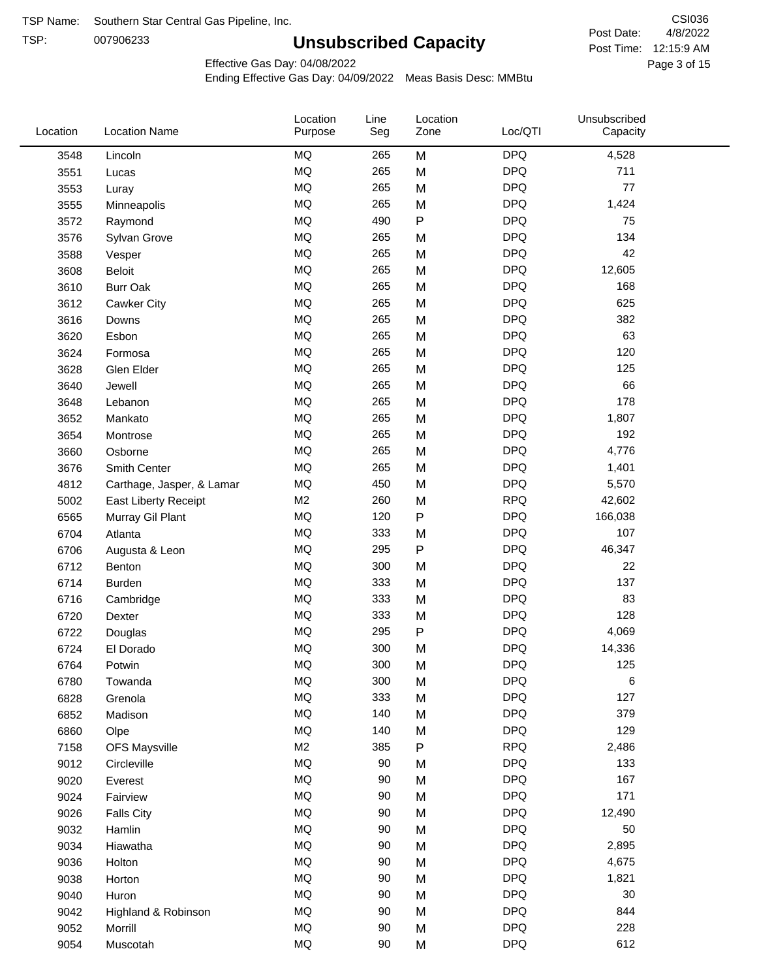TSP: 

# **Unsubscribed Capacity**

4/8/2022 Page 3 of 15 Post Time: 12:15:9 AM CSI036 Post Date:

Unsubscribed

Effective Gas Day: 04/08/2022

Location

Ending Effective Gas Day: 04/09/2022 Meas Basis Desc: MMBtu

Line

Location

| Location | <b>Location Name</b>      | Purpose        | Seg | Zone         | Loc/QTI    | Capacity |  |
|----------|---------------------------|----------------|-----|--------------|------------|----------|--|
| 3548     | Lincoln                   | <b>MQ</b>      | 265 | M            | <b>DPQ</b> | 4,528    |  |
| 3551     | Lucas                     | MQ             | 265 | M            | <b>DPQ</b> | 711      |  |
| 3553     | Luray                     | MQ             | 265 | M            | <b>DPQ</b> | 77       |  |
| 3555     | Minneapolis               | MQ             | 265 | M            | <b>DPQ</b> | 1,424    |  |
| 3572     | Raymond                   | MQ             | 490 | $\mathsf{P}$ | <b>DPQ</b> | 75       |  |
| 3576     | Sylvan Grove              | MQ             | 265 | M            | <b>DPQ</b> | 134      |  |
| 3588     | Vesper                    | MQ             | 265 | M            | <b>DPQ</b> | 42       |  |
| 3608     | <b>Beloit</b>             | MQ             | 265 | M            | <b>DPQ</b> | 12,605   |  |
| 3610     | <b>Burr Oak</b>           | <b>MQ</b>      | 265 | M            | <b>DPQ</b> | 168      |  |
| 3612     | Cawker City               | MQ             | 265 | M            | <b>DPQ</b> | 625      |  |
| 3616     | Downs                     | MQ             | 265 | M            | <b>DPQ</b> | 382      |  |
| 3620     | Esbon                     | MQ             | 265 | M            | <b>DPQ</b> | 63       |  |
| 3624     | Formosa                   | MQ             | 265 | M            | <b>DPQ</b> | 120      |  |
| 3628     | Glen Elder                | MQ             | 265 | M            | <b>DPQ</b> | 125      |  |
| 3640     | Jewell                    | MQ             | 265 | M            | <b>DPQ</b> | 66       |  |
| 3648     | Lebanon                   | MQ             | 265 | M            | <b>DPQ</b> | 178      |  |
| 3652     | Mankato                   | MQ             | 265 | M            | <b>DPQ</b> | 1,807    |  |
| 3654     | Montrose                  | MQ             | 265 | M            | <b>DPQ</b> | 192      |  |
| 3660     | Osborne                   | MQ             | 265 | M            | <b>DPQ</b> | 4,776    |  |
| 3676     | Smith Center              | MQ             | 265 | M            | <b>DPQ</b> | 1,401    |  |
| 4812     | Carthage, Jasper, & Lamar | MQ             | 450 | M            | <b>DPQ</b> | 5,570    |  |
| 5002     | East Liberty Receipt      | M <sub>2</sub> | 260 | M            | <b>RPQ</b> | 42,602   |  |
| 6565     | Murray Gil Plant          | MQ             | 120 | $\sf P$      | <b>DPQ</b> | 166,038  |  |
| 6704     | Atlanta                   | MQ             | 333 | M            | <b>DPQ</b> | 107      |  |
| 6706     | Augusta & Leon            | MQ             | 295 | ${\sf P}$    | <b>DPQ</b> | 46,347   |  |
| 6712     | Benton                    | MQ             | 300 | M            | <b>DPQ</b> | 22       |  |
| 6714     | Burden                    | MQ             | 333 | M            | <b>DPQ</b> | 137      |  |
| 6716     | Cambridge                 | MQ             | 333 | M            | <b>DPQ</b> | 83       |  |
| 6720     | Dexter                    | MQ             | 333 | M            | <b>DPQ</b> | 128      |  |
| 6722     | Douglas                   | MQ             | 295 | ${\sf P}$    | <b>DPQ</b> | 4,069    |  |
| 6724     | El Dorado                 | MQ             | 300 | M            | <b>DPQ</b> | 14,336   |  |
| 6764     | Potwin                    | <b>MQ</b>      | 300 | M            | <b>DPQ</b> | 125      |  |
| 6780     | Towanda                   | <b>MQ</b>      | 300 | M            | <b>DPQ</b> | 6        |  |
| 6828     | Grenola                   | MQ             | 333 | M            | <b>DPQ</b> | 127      |  |
| 6852     | Madison                   | MQ             | 140 | M            | <b>DPQ</b> | 379      |  |
| 6860     | Olpe                      | MQ             | 140 | M            | <b>DPQ</b> | 129      |  |
| 7158     | <b>OFS Maysville</b>      | M <sub>2</sub> | 385 | $\sf P$      | <b>RPQ</b> | 2,486    |  |
| 9012     | Circleville               | MQ             | 90  | M            | <b>DPQ</b> | 133      |  |
| 9020     | Everest                   | MQ             | 90  | M            | <b>DPQ</b> | 167      |  |
| 9024     | Fairview                  | MQ             | 90  | M            | <b>DPQ</b> | 171      |  |
| 9026     | <b>Falls City</b>         | MQ             | 90  | M            | <b>DPQ</b> | 12,490   |  |
| 9032     | Hamlin                    | MQ             | 90  | M            | <b>DPQ</b> | 50       |  |
| 9034     | Hiawatha                  | $\sf{MQ}$      | 90  | M            | <b>DPQ</b> | 2,895    |  |
| 9036     | Holton                    | MQ             | 90  | M            | <b>DPQ</b> | 4,675    |  |
| 9038     | Horton                    | MQ             | 90  | M            | <b>DPQ</b> | 1,821    |  |
| 9040     | Huron                     | MQ             | 90  | M            | <b>DPQ</b> | 30       |  |
| 9042     | Highland & Robinson       | MQ             | 90  | M            | <b>DPQ</b> | 844      |  |
| 9052     | Morrill                   | $\sf{MQ}$      | 90  | M            | <b>DPQ</b> | 228      |  |
| 9054     | Muscotah                  | $\sf{MQ}$      | 90  | M            | <b>DPQ</b> | 612      |  |
|          |                           |                |     |              |            |          |  |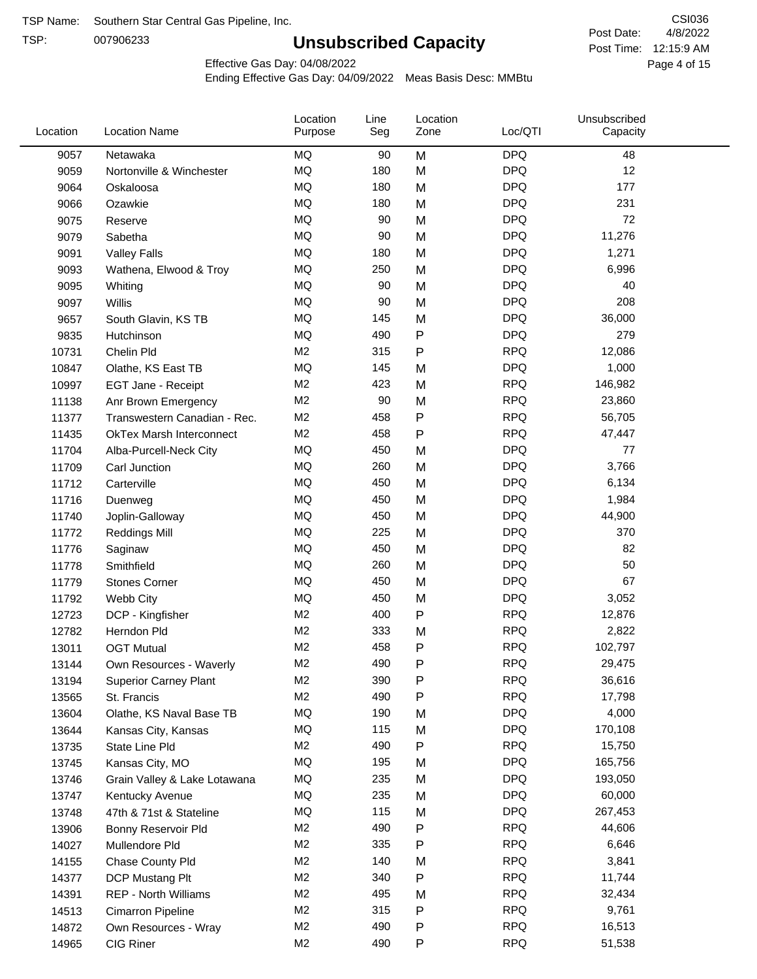TSP:

## **Unsubscribed Capacity**

4/8/2022 Page 4 of 15 Post Time: 12:15:9 AM CSI036 Post Date:

Effective Gas Day: 04/08/2022

| Location |       | <b>Location Name</b>            | Location<br>Purpose | Line<br>Seg | Location<br>Zone | Loc/QTI    | Unsubscribed<br>Capacity |  |
|----------|-------|---------------------------------|---------------------|-------------|------------------|------------|--------------------------|--|
|          | 9057  | Netawaka                        | MQ                  | 90          | M                | <b>DPQ</b> | 48                       |  |
|          | 9059  | Nortonville & Winchester        | MQ                  | 180         | M                | <b>DPQ</b> | 12                       |  |
|          | 9064  | Oskaloosa                       | MQ                  | 180         | M                | <b>DPQ</b> | 177                      |  |
|          | 9066  | Ozawkie                         | MQ                  | 180         | M                | <b>DPQ</b> | 231                      |  |
|          | 9075  | Reserve                         | MQ                  | 90          | M                | <b>DPQ</b> | 72                       |  |
|          | 9079  | Sabetha                         | MQ                  | 90          | M                | <b>DPQ</b> | 11,276                   |  |
|          | 9091  | <b>Valley Falls</b>             | MQ                  | 180         | M                | <b>DPQ</b> | 1,271                    |  |
|          | 9093  | Wathena, Elwood & Troy          | MQ                  | 250         | M                | <b>DPQ</b> | 6,996                    |  |
|          | 9095  | Whiting                         | MQ                  | 90          | M                | <b>DPQ</b> | 40                       |  |
|          | 9097  | Willis                          | MQ                  | 90          | M                | <b>DPQ</b> | 208                      |  |
|          | 9657  | South Glavin, KS TB             | MQ                  | 145         | M                | <b>DPQ</b> | 36,000                   |  |
|          | 9835  | Hutchinson                      | MQ                  | 490         | P                | <b>DPQ</b> | 279                      |  |
|          | 10731 | Chelin Pld                      | M <sub>2</sub>      | 315         | Ρ                | <b>RPQ</b> | 12,086                   |  |
|          | 10847 | Olathe, KS East TB              | MQ                  | 145         | M                | <b>DPQ</b> | 1,000                    |  |
|          | 10997 | <b>EGT Jane - Receipt</b>       | M <sub>2</sub>      | 423         | M                | <b>RPQ</b> | 146,982                  |  |
|          | 11138 | Anr Brown Emergency             | M <sub>2</sub>      | 90          | M                | <b>RPQ</b> | 23,860                   |  |
|          | 11377 | Transwestern Canadian - Rec.    | M <sub>2</sub>      | 458         | P                | <b>RPQ</b> | 56,705                   |  |
|          | 11435 | <b>OkTex Marsh Interconnect</b> | M <sub>2</sub>      | 458         | P                | <b>RPQ</b> | 47,447                   |  |
|          | 11704 | Alba-Purcell-Neck City          | MQ                  | 450         | M                | <b>DPQ</b> | 77                       |  |
|          | 11709 | Carl Junction                   | MQ                  | 260         | M                | <b>DPQ</b> | 3,766                    |  |
|          | 11712 | Carterville                     | MQ                  | 450         | M                | <b>DPQ</b> | 6,134                    |  |
|          | 11716 | Duenweg                         | MQ                  | 450         | M                | <b>DPQ</b> | 1,984                    |  |
|          | 11740 | Joplin-Galloway                 | MQ                  | 450         | M                | <b>DPQ</b> | 44,900                   |  |
|          | 11772 | <b>Reddings Mill</b>            | MQ                  | 225         | M                | <b>DPQ</b> | 370                      |  |
|          | 11776 | Saginaw                         | MQ                  | 450         | M                | <b>DPQ</b> | 82                       |  |
|          | 11778 | Smithfield                      | MQ                  | 260         | M                | <b>DPQ</b> | 50                       |  |
|          | 11779 | <b>Stones Corner</b>            | MQ                  | 450         | M                | <b>DPQ</b> | 67                       |  |
|          | 11792 | Webb City                       | MQ                  | 450         | M                | <b>DPQ</b> | 3,052                    |  |
|          | 12723 | DCP - Kingfisher                | M <sub>2</sub>      | 400         | P                | <b>RPQ</b> | 12,876                   |  |
|          | 12782 | Herndon Pld                     | M <sub>2</sub>      | 333         | M                | <b>RPQ</b> | 2,822                    |  |
|          | 13011 | <b>OGT Mutual</b>               | M <sub>2</sub>      | 458         | Ρ                | <b>RPQ</b> | 102,797                  |  |
|          | 13144 | Own Resources - Waverly         | M <sub>2</sub>      | 490         | P                | <b>RPQ</b> | 29,475                   |  |
|          | 13194 | <b>Superior Carney Plant</b>    | M <sub>2</sub>      | 390         | P                | <b>RPQ</b> | 36,616                   |  |
|          | 13565 | St. Francis                     | M2                  | 490         | Ρ                | <b>RPQ</b> | 17,798                   |  |
|          | 13604 | Olathe, KS Naval Base TB        | MQ                  | 190         | M                | <b>DPQ</b> | 4,000                    |  |
|          | 13644 | Kansas City, Kansas             | MQ                  | 115         | M                | <b>DPQ</b> | 170,108                  |  |
|          | 13735 | State Line Pld                  | M <sub>2</sub>      | 490         | Ρ                | <b>RPQ</b> | 15,750                   |  |
|          | 13745 | Kansas City, MO                 | MQ                  | 195         | M                | <b>DPQ</b> | 165,756                  |  |
|          | 13746 | Grain Valley & Lake Lotawana    | MQ                  | 235         | M                | <b>DPQ</b> | 193,050                  |  |
|          | 13747 | Kentucky Avenue                 | MQ                  | 235         | M                | <b>DPQ</b> | 60,000                   |  |
|          | 13748 | 47th & 71st & Stateline         | MQ                  | 115         | M                | <b>DPQ</b> | 267,453                  |  |
|          | 13906 | Bonny Reservoir Pld             | M <sub>2</sub>      | 490         | Ρ                | <b>RPQ</b> | 44,606                   |  |
|          | 14027 | Mullendore Pld                  | M <sub>2</sub>      | 335         | Ρ                | <b>RPQ</b> | 6,646                    |  |
|          | 14155 | Chase County Pld                | M <sub>2</sub>      | 140         | M                | <b>RPQ</b> | 3,841                    |  |
|          | 14377 | DCP Mustang Plt                 | M <sub>2</sub>      | 340         | Ρ                | <b>RPQ</b> | 11,744                   |  |
|          | 14391 | <b>REP - North Williams</b>     | M <sub>2</sub>      | 495         | M                | <b>RPQ</b> | 32,434                   |  |
|          | 14513 | Cimarron Pipeline               | M <sub>2</sub>      | 315         | Ρ                | <b>RPQ</b> | 9,761                    |  |
|          | 14872 | Own Resources - Wray            | M <sub>2</sub>      | 490         | Ρ                | <b>RPQ</b> | 16,513                   |  |
|          | 14965 | CIG Riner                       | M <sub>2</sub>      | 490         | Ρ                | <b>RPQ</b> | 51,538                   |  |
|          |       |                                 |                     |             |                  |            |                          |  |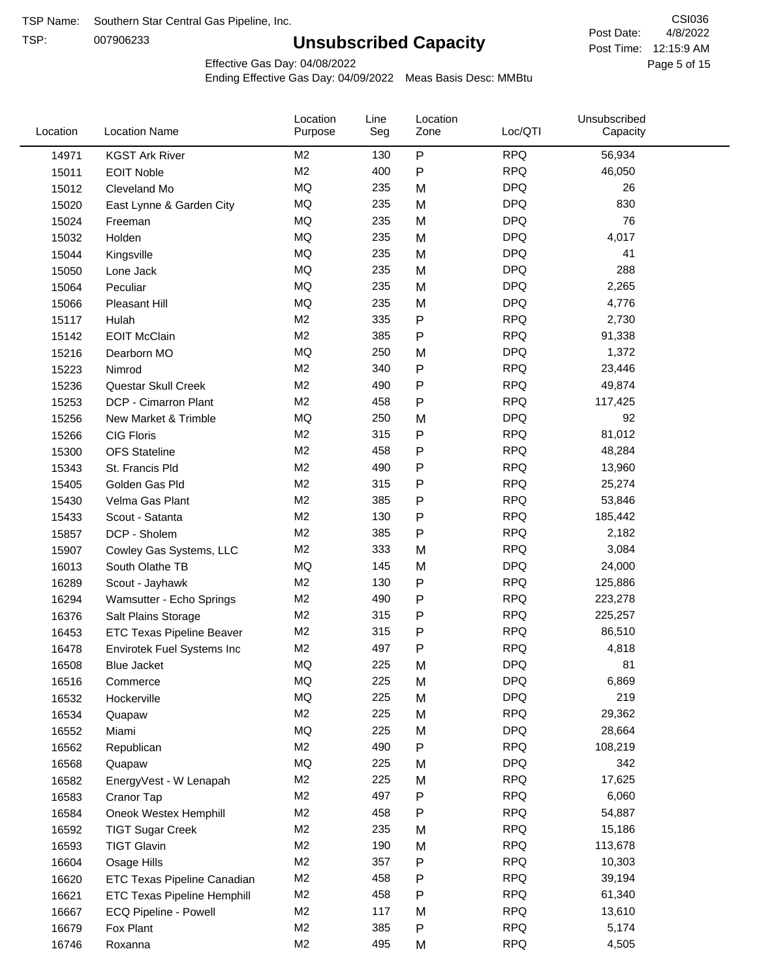TSP:

## **Unsubscribed Capacity**

4/8/2022 Page 5 of 15 Post Time: 12:15:9 AM CSI036 Post Date:

Effective Gas Day: 04/08/2022

| Location | <b>Location Name</b>               | Location<br>Purpose | Line<br>Seg | Location<br>Zone | Loc/QTI    | Unsubscribed<br>Capacity |  |
|----------|------------------------------------|---------------------|-------------|------------------|------------|--------------------------|--|
| 14971    | <b>KGST Ark River</b>              | M <sub>2</sub>      | 130         | ${\sf P}$        | <b>RPQ</b> | 56,934                   |  |
| 15011    | <b>EOIT Noble</b>                  | M <sub>2</sub>      | 400         | $\mathsf{P}$     | <b>RPQ</b> | 46,050                   |  |
| 15012    | Cleveland Mo                       | <b>MQ</b>           | 235         | M                | <b>DPQ</b> | 26                       |  |
| 15020    | East Lynne & Garden City           | <b>MQ</b>           | 235         | M                | <b>DPQ</b> | 830                      |  |
| 15024    | Freeman                            | <b>MQ</b>           | 235         | M                | <b>DPQ</b> | 76                       |  |
| 15032    | Holden                             | <b>MQ</b>           | 235         | M                | <b>DPQ</b> | 4,017                    |  |
| 15044    | Kingsville                         | MQ                  | 235         | M                | <b>DPQ</b> | 41                       |  |
| 15050    | Lone Jack                          | <b>MQ</b>           | 235         | M                | <b>DPQ</b> | 288                      |  |
| 15064    | Peculiar                           | <b>MQ</b>           | 235         | M                | <b>DPQ</b> | 2,265                    |  |
| 15066    | <b>Pleasant Hill</b>               | MQ                  | 235         | M                | <b>DPQ</b> | 4,776                    |  |
| 15117    | Hulah                              | M <sub>2</sub>      | 335         | Ρ                | <b>RPQ</b> | 2,730                    |  |
| 15142    | <b>EOIT McClain</b>                | M <sub>2</sub>      | 385         | P                | <b>RPQ</b> | 91,338                   |  |
| 15216    | Dearborn MO                        | MQ                  | 250         | M                | <b>DPQ</b> | 1,372                    |  |
| 15223    | Nimrod                             | M <sub>2</sub>      | 340         | ${\sf P}$        | <b>RPQ</b> | 23,446                   |  |
| 15236    | Questar Skull Creek                | M <sub>2</sub>      | 490         | P                | <b>RPQ</b> | 49,874                   |  |
| 15253    | DCP - Cimarron Plant               | M <sub>2</sub>      | 458         | $\mathsf{P}$     | <b>RPQ</b> | 117,425                  |  |
| 15256    | New Market & Trimble               | <b>MQ</b>           | 250         | M                | <b>DPQ</b> | 92                       |  |
| 15266    | <b>CIG Floris</b>                  | M <sub>2</sub>      | 315         | Ρ                | <b>RPQ</b> | 81,012                   |  |
| 15300    | <b>OFS Stateline</b>               | M <sub>2</sub>      | 458         | Ρ                | <b>RPQ</b> | 48,284                   |  |
| 15343    | St. Francis Pld                    | M <sub>2</sub>      | 490         | $\mathsf{P}$     | <b>RPQ</b> | 13,960                   |  |
| 15405    | Golden Gas Pld                     | M <sub>2</sub>      | 315         | $\mathsf{P}$     | <b>RPQ</b> | 25,274                   |  |
| 15430    | Velma Gas Plant                    | M <sub>2</sub>      | 385         | $\mathsf{P}$     | <b>RPQ</b> | 53,846                   |  |
| 15433    | Scout - Satanta                    | M <sub>2</sub>      | 130         | P                | <b>RPQ</b> | 185,442                  |  |
| 15857    | DCP - Sholem                       | M <sub>2</sub>      | 385         | P                | <b>RPQ</b> | 2,182                    |  |
| 15907    | Cowley Gas Systems, LLC            | M <sub>2</sub>      | 333         | M                | <b>RPQ</b> | 3,084                    |  |
| 16013    | South Olathe TB                    | MQ                  | 145         | M                | <b>DPQ</b> | 24,000                   |  |
| 16289    | Scout - Jayhawk                    | M <sub>2</sub>      | 130         | Ρ                | <b>RPQ</b> | 125,886                  |  |
| 16294    | Wamsutter - Echo Springs           | M <sub>2</sub>      | 490         | P                | <b>RPQ</b> | 223,278                  |  |
| 16376    | Salt Plains Storage                | M <sub>2</sub>      | 315         | Ρ                | <b>RPQ</b> | 225,257                  |  |
| 16453    | <b>ETC Texas Pipeline Beaver</b>   | M <sub>2</sub>      | 315         | P                | <b>RPQ</b> | 86,510                   |  |
| 16478    | Envirotek Fuel Systems Inc         | M <sub>2</sub>      | 497         | P                | <b>RPQ</b> | 4,818                    |  |
| 16508    | Blue Jacket                        | MQ                  | 225         | M                | <b>DPQ</b> | 81                       |  |
| 16516    | Commerce                           | MQ                  | 225         | M                | <b>DPQ</b> | 6,869                    |  |
| 16532    | Hockerville                        | <b>MQ</b>           | 225         | M                | <b>DPQ</b> | 219                      |  |
| 16534    | Quapaw                             | M <sub>2</sub>      | 225         | M                | <b>RPQ</b> | 29,362                   |  |
| 16552    | Miami                              | MQ                  | 225         | M                | <b>DPQ</b> | 28,664                   |  |
| 16562    | Republican                         | M <sub>2</sub>      | 490         | ${\sf P}$        | <b>RPQ</b> | 108,219                  |  |
| 16568    | Quapaw                             | <b>MQ</b>           | 225         | M                | <b>DPQ</b> | 342                      |  |
| 16582    | EnergyVest - W Lenapah             | M <sub>2</sub>      | 225         | M                | <b>RPQ</b> | 17,625                   |  |
| 16583    | Cranor Tap                         | M <sub>2</sub>      | 497         | Ρ                | <b>RPQ</b> | 6,060                    |  |
| 16584    | Oneok Westex Hemphill              | M <sub>2</sub>      | 458         | Ρ                | <b>RPQ</b> | 54,887                   |  |
| 16592    | <b>TIGT Sugar Creek</b>            | M <sub>2</sub>      | 235         | M                | <b>RPQ</b> | 15,186                   |  |
| 16593    | <b>TIGT Glavin</b>                 | M <sub>2</sub>      | 190         | M                | <b>RPQ</b> | 113,678                  |  |
| 16604    | Osage Hills                        | M <sub>2</sub>      | 357         | Ρ                | <b>RPQ</b> | 10,303                   |  |
| 16620    | <b>ETC Texas Pipeline Canadian</b> | M <sub>2</sub>      | 458         | Ρ                | <b>RPQ</b> | 39,194                   |  |
| 16621    | <b>ETC Texas Pipeline Hemphill</b> | M <sub>2</sub>      | 458         | Ρ                | <b>RPQ</b> | 61,340                   |  |
| 16667    | ECQ Pipeline - Powell              | M <sub>2</sub>      | 117         | M                | <b>RPQ</b> | 13,610                   |  |
| 16679    | Fox Plant                          | M <sub>2</sub>      | 385         | Ρ                | <b>RPQ</b> | 5,174                    |  |
| 16746    | Roxanna                            | M <sub>2</sub>      | 495         | M                | <b>RPQ</b> | 4,505                    |  |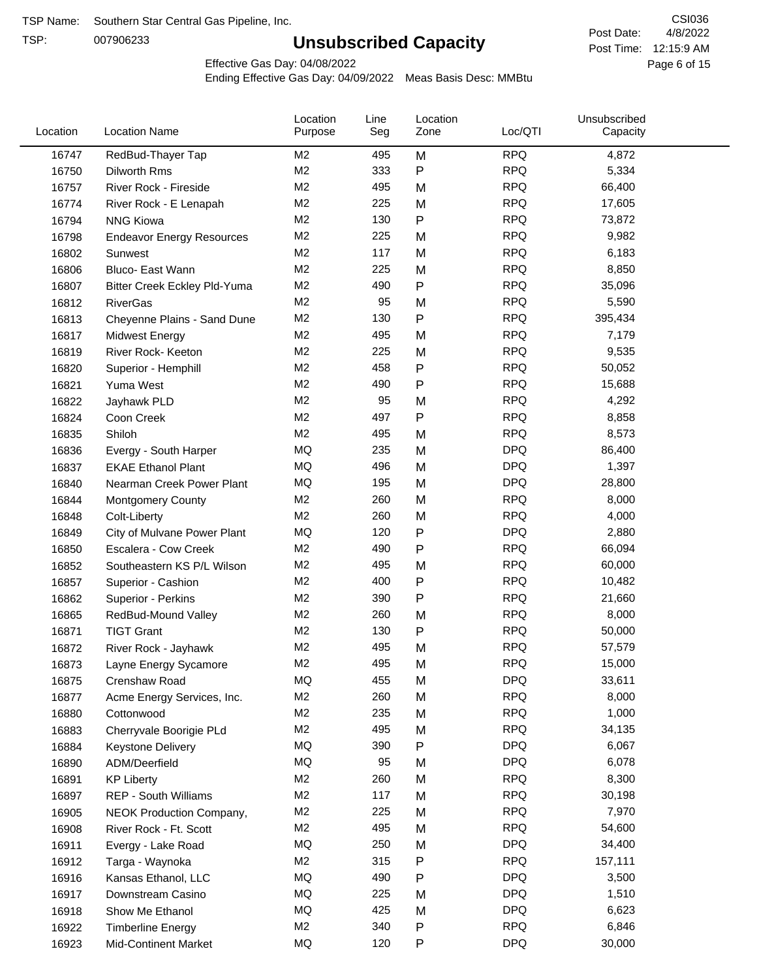TSP:

## **Unsubscribed Capacity**

4/8/2022 Page 6 of 15 Post Time: 12:15:9 AM CSI036 Post Date:

Effective Gas Day: 04/08/2022

| Location | <b>Location Name</b>             | Location<br>Purpose | Line<br>Seg | Location<br>Zone | Loc/QTI    | Unsubscribed<br>Capacity |  |
|----------|----------------------------------|---------------------|-------------|------------------|------------|--------------------------|--|
| 16747    | RedBud-Thayer Tap                | M <sub>2</sub>      | 495         | M                | <b>RPQ</b> | 4,872                    |  |
| 16750    | Dilworth Rms                     | M <sub>2</sub>      | 333         | $\mathsf{P}$     | <b>RPQ</b> | 5,334                    |  |
| 16757    | River Rock - Fireside            | M <sub>2</sub>      | 495         | M                | <b>RPQ</b> | 66,400                   |  |
| 16774    | River Rock - E Lenapah           | M <sub>2</sub>      | 225         | M                | <b>RPQ</b> | 17,605                   |  |
| 16794    | <b>NNG Kiowa</b>                 | M <sub>2</sub>      | 130         | $\mathsf{P}$     | <b>RPQ</b> | 73,872                   |  |
| 16798    | <b>Endeavor Energy Resources</b> | M <sub>2</sub>      | 225         | M                | <b>RPQ</b> | 9,982                    |  |
| 16802    | Sunwest                          | M <sub>2</sub>      | 117         | M                | <b>RPQ</b> | 6,183                    |  |
| 16806    | Bluco- East Wann                 | M <sub>2</sub>      | 225         | M                | <b>RPQ</b> | 8,850                    |  |
| 16807    | Bitter Creek Eckley Pld-Yuma     | M <sub>2</sub>      | 490         | $\mathsf{P}$     | <b>RPQ</b> | 35,096                   |  |
| 16812    | <b>RiverGas</b>                  | M <sub>2</sub>      | 95          | M                | <b>RPQ</b> | 5,590                    |  |
| 16813    | Cheyenne Plains - Sand Dune      | M <sub>2</sub>      | 130         | $\mathsf{P}$     | <b>RPQ</b> | 395,434                  |  |
| 16817    | <b>Midwest Energy</b>            | M <sub>2</sub>      | 495         | M                | <b>RPQ</b> | 7,179                    |  |
| 16819    | River Rock- Keeton               | M <sub>2</sub>      | 225         | M                | <b>RPQ</b> | 9,535                    |  |
| 16820    | Superior - Hemphill              | M <sub>2</sub>      | 458         | $\mathsf{P}$     | <b>RPQ</b> | 50,052                   |  |
| 16821    | Yuma West                        | M <sub>2</sub>      | 490         | $\mathsf{P}$     | <b>RPQ</b> | 15,688                   |  |
| 16822    | Jayhawk PLD                      | M <sub>2</sub>      | 95          | M                | <b>RPQ</b> | 4,292                    |  |
| 16824    | Coon Creek                       | M <sub>2</sub>      | 497         | $\mathsf{P}$     | <b>RPQ</b> | 8,858                    |  |
| 16835    | Shiloh                           | M <sub>2</sub>      | 495         | M                | <b>RPQ</b> | 8,573                    |  |
| 16836    | Evergy - South Harper            | MQ                  | 235         | M                | <b>DPQ</b> | 86,400                   |  |
| 16837    | <b>EKAE Ethanol Plant</b>        | MQ                  | 496         | M                | <b>DPQ</b> | 1,397                    |  |
| 16840    | Nearman Creek Power Plant        | MQ                  | 195         | M                | <b>DPQ</b> | 28,800                   |  |
| 16844    | <b>Montgomery County</b>         | M <sub>2</sub>      | 260         | M                | <b>RPQ</b> | 8,000                    |  |
| 16848    | Colt-Liberty                     | M <sub>2</sub>      | 260         | M                | <b>RPQ</b> | 4,000                    |  |
| 16849    | City of Mulvane Power Plant      | <b>MQ</b>           | 120         | ${\sf P}$        | <b>DPQ</b> | 2,880                    |  |
| 16850    | Escalera - Cow Creek             | M <sub>2</sub>      | 490         | $\mathsf{P}$     | <b>RPQ</b> | 66,094                   |  |
| 16852    | Southeastern KS P/L Wilson       | M <sub>2</sub>      | 495         | M                | <b>RPQ</b> | 60,000                   |  |
| 16857    | Superior - Cashion               | M <sub>2</sub>      | 400         | $\mathsf{P}$     | <b>RPQ</b> | 10,482                   |  |
| 16862    | Superior - Perkins               | M <sub>2</sub>      | 390         | $\mathsf{P}$     | <b>RPQ</b> | 21,660                   |  |
| 16865    | RedBud-Mound Valley              | M <sub>2</sub>      | 260         | M                | <b>RPQ</b> | 8,000                    |  |
| 16871    | <b>TIGT Grant</b>                | M <sub>2</sub>      | 130         | $\mathsf{P}$     | <b>RPQ</b> | 50,000                   |  |
| 16872    | River Rock - Jayhawk             | M <sub>2</sub>      | 495         | M                | <b>RPQ</b> | 57,579                   |  |
| 16873    | Layne Energy Sycamore            | M <sub>2</sub>      | 495         | M                | <b>RPQ</b> | 15,000                   |  |
| 16875    | Crenshaw Road                    | MQ                  | 455         | M                | <b>DPQ</b> | 33,611                   |  |
| 16877    | Acme Energy Services, Inc.       | M <sub>2</sub>      | 260         | M                | <b>RPQ</b> | 8,000                    |  |
| 16880    | Cottonwood                       | M <sub>2</sub>      | 235         | M                | <b>RPQ</b> | 1,000                    |  |
| 16883    | Cherryvale Boorigie PLd          | M <sub>2</sub>      | 495         | M                | <b>RPQ</b> | 34,135                   |  |
| 16884    | Keystone Delivery                | MQ                  | 390         | $\mathsf{P}$     | <b>DPQ</b> | 6,067                    |  |
| 16890    | ADM/Deerfield                    | MQ                  | 95          | M                | <b>DPQ</b> | 6,078                    |  |
| 16891    | <b>KP Liberty</b>                | M <sub>2</sub>      | 260         | M                | <b>RPQ</b> | 8,300                    |  |
| 16897    | <b>REP - South Williams</b>      | M <sub>2</sub>      | 117         | M                | <b>RPQ</b> | 30,198                   |  |
| 16905    | NEOK Production Company,         | M <sub>2</sub>      | 225         | M                | <b>RPQ</b> | 7,970                    |  |
| 16908    | River Rock - Ft. Scott           | M <sub>2</sub>      | 495         | M                | <b>RPQ</b> | 54,600                   |  |
| 16911    | Evergy - Lake Road               | MQ                  | 250         | M                | <b>DPQ</b> | 34,400                   |  |
| 16912    | Targa - Waynoka                  | M <sub>2</sub>      | 315         | P                | <b>RPQ</b> | 157,111                  |  |
| 16916    | Kansas Ethanol, LLC              | MQ                  | 490         | $\mathsf{P}$     | <b>DPQ</b> | 3,500                    |  |
| 16917    | Downstream Casino                | MQ                  | 225         | M                | <b>DPQ</b> | 1,510                    |  |
| 16918    | Show Me Ethanol                  | MQ                  | 425         | M                | <b>DPQ</b> | 6,623                    |  |
| 16922    | <b>Timberline Energy</b>         | M <sub>2</sub>      | 340         | ${\sf P}$        | <b>RPQ</b> | 6,846                    |  |
| 16923    | Mid-Continent Market             | MQ                  | 120         | ${\sf P}$        | <b>DPQ</b> | 30,000                   |  |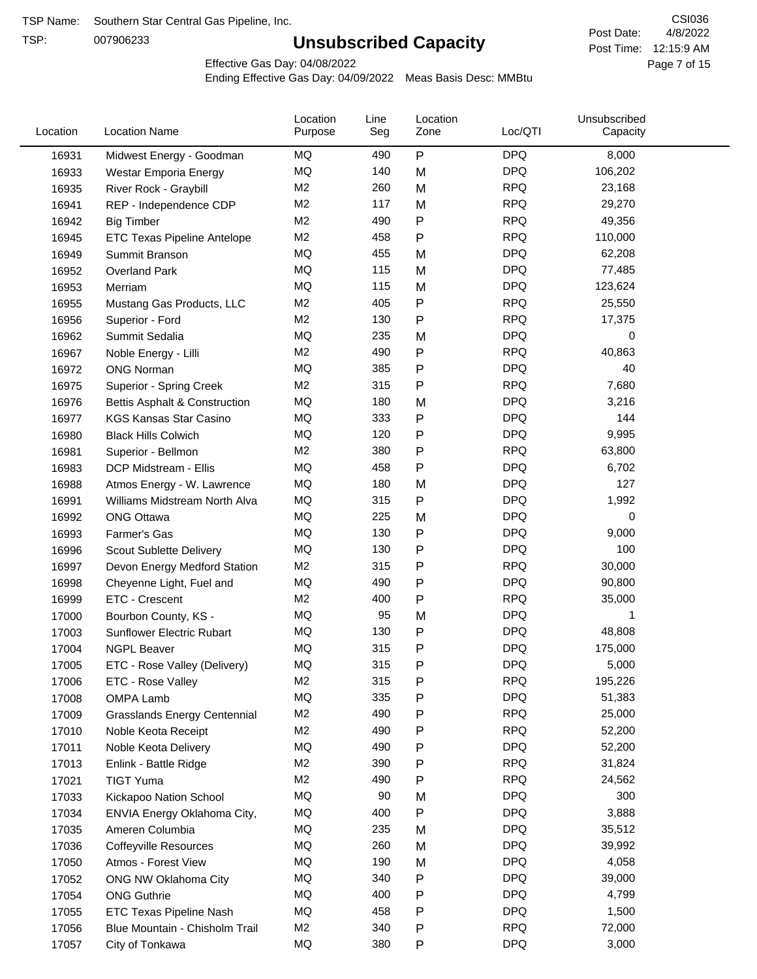TSP:

## **Unsubscribed Capacity**

4/8/2022 Page 7 of 15 Post Time: 12:15:9 AM CSI036 Post Date:

Effective Gas Day: 04/08/2022

| Location | <b>Location Name</b>                     | Location<br>Purpose | Line<br>Seg | Location<br>Zone | Loc/QTI    | Unsubscribed<br>Capacity |  |
|----------|------------------------------------------|---------------------|-------------|------------------|------------|--------------------------|--|
| 16931    | Midwest Energy - Goodman                 | MQ                  | 490         | P                | <b>DPQ</b> | 8,000                    |  |
| 16933    | Westar Emporia Energy                    | MQ                  | 140         | M                | <b>DPQ</b> | 106,202                  |  |
| 16935    | River Rock - Graybill                    | M <sub>2</sub>      | 260         | M                | <b>RPQ</b> | 23,168                   |  |
| 16941    | REP - Independence CDP                   | M <sub>2</sub>      | 117         | M                | <b>RPQ</b> | 29,270                   |  |
| 16942    | <b>Big Timber</b>                        | M <sub>2</sub>      | 490         | P                | <b>RPQ</b> | 49,356                   |  |
| 16945    | <b>ETC Texas Pipeline Antelope</b>       | M2                  | 458         | Ρ                | <b>RPQ</b> | 110,000                  |  |
| 16949    | Summit Branson                           | MQ                  | 455         | M                | <b>DPQ</b> | 62,208                   |  |
| 16952    | <b>Overland Park</b>                     | <b>MQ</b>           | 115         | M                | <b>DPQ</b> | 77,485                   |  |
| 16953    | Merriam                                  | MQ                  | 115         | M                | <b>DPQ</b> | 123,624                  |  |
| 16955    | Mustang Gas Products, LLC                | M <sub>2</sub>      | 405         | P                | <b>RPQ</b> | 25,550                   |  |
| 16956    | Superior - Ford                          | M2                  | 130         | Ρ                | <b>RPQ</b> | 17,375                   |  |
| 16962    | Summit Sedalia                           | MQ                  | 235         | M                | <b>DPQ</b> | 0                        |  |
| 16967    | Noble Energy - Lilli                     | M <sub>2</sub>      | 490         | Ρ                | <b>RPQ</b> | 40,863                   |  |
| 16972    | <b>ONG Norman</b>                        | MQ                  | 385         | Ρ                | <b>DPQ</b> | 40                       |  |
| 16975    | Superior - Spring Creek                  | M <sub>2</sub>      | 315         | Ρ                | <b>RPQ</b> | 7,680                    |  |
| 16976    | <b>Bettis Asphalt &amp; Construction</b> | MQ                  | 180         | M                | <b>DPQ</b> | 3,216                    |  |
| 16977    | <b>KGS Kansas Star Casino</b>            | MQ                  | 333         | P                | <b>DPQ</b> | 144                      |  |
| 16980    | <b>Black Hills Colwich</b>               | MQ                  | 120         | Ρ                | <b>DPQ</b> | 9,995                    |  |
| 16981    | Superior - Bellmon                       | M <sub>2</sub>      | 380         | P                | <b>RPQ</b> | 63,800                   |  |
| 16983    | DCP Midstream - Ellis                    | MQ                  | 458         | Ρ                | <b>DPQ</b> | 6,702                    |  |
| 16988    | Atmos Energy - W. Lawrence               | MQ                  | 180         | M                | <b>DPQ</b> | 127                      |  |
| 16991    | Williams Midstream North Alva            | <b>MQ</b>           | 315         | P                | <b>DPQ</b> | 1,992                    |  |
| 16992    | <b>ONG Ottawa</b>                        | MQ                  | 225         | M                | <b>DPQ</b> | 0                        |  |
| 16993    | Farmer's Gas                             | MQ                  | 130         | P                | <b>DPQ</b> | 9,000                    |  |
| 16996    | Scout Sublette Delivery                  | MQ                  | 130         | Ρ                | <b>DPQ</b> | 100                      |  |
| 16997    | Devon Energy Medford Station             | M <sub>2</sub>      | 315         | Ρ                | <b>RPQ</b> | 30,000                   |  |
| 16998    | Cheyenne Light, Fuel and                 | MQ                  | 490         | Ρ                | <b>DPQ</b> | 90,800                   |  |
| 16999    | ETC - Crescent                           | M2                  | 400         | P                | <b>RPQ</b> | 35,000                   |  |
| 17000    | Bourbon County, KS -                     | MQ                  | 95          | M                | <b>DPQ</b> | 1                        |  |
| 17003    | Sunflower Electric Rubart                | MQ                  | 130         | Ρ                | <b>DPQ</b> | 48,808                   |  |
| 17004    | <b>NGPL Beaver</b>                       | MQ                  | 315         | Ρ                | <b>DPQ</b> | 175,000                  |  |
| 17005    | ETC - Rose Valley (Delivery)             | MQ                  | 315         | Ρ                | <b>DPQ</b> | 5,000                    |  |
| 17006    | ETC - Rose Valley                        | M <sub>2</sub>      | 315         | P                | <b>RPQ</b> | 195,226                  |  |
| 17008    | OMPA Lamb                                | MQ                  | 335         | Ρ                | <b>DPQ</b> | 51,383                   |  |
| 17009    | <b>Grasslands Energy Centennial</b>      | M <sub>2</sub>      | 490         | Ρ                | <b>RPQ</b> | 25,000                   |  |
| 17010    | Noble Keota Receipt                      | M2                  | 490         | Ρ                | <b>RPQ</b> | 52,200                   |  |
| 17011    | Noble Keota Delivery                     | MQ                  | 490         | Ρ                | <b>DPQ</b> | 52,200                   |  |
| 17013    | Enlink - Battle Ridge                    | M <sub>2</sub>      | 390         | Ρ                | <b>RPQ</b> | 31,824                   |  |
| 17021    | <b>TIGT Yuma</b>                         | M <sub>2</sub>      | 490         | Ρ                | <b>RPQ</b> | 24,562                   |  |
| 17033    | Kickapoo Nation School                   | MQ                  | 90          | M                | <b>DPQ</b> | 300                      |  |
| 17034    | ENVIA Energy Oklahoma City,              | MQ                  | 400         | P                | <b>DPQ</b> | 3,888                    |  |
| 17035    | Ameren Columbia                          | MQ                  | 235         | M                | <b>DPQ</b> | 35,512                   |  |
| 17036    | <b>Coffeyville Resources</b>             | MQ                  | 260         | M                | <b>DPQ</b> | 39,992                   |  |
| 17050    | Atmos - Forest View                      | MQ                  | 190         | M                | <b>DPQ</b> | 4,058                    |  |
| 17052    | ONG NW Oklahoma City                     | MQ                  | 340         | P                | <b>DPQ</b> | 39,000                   |  |
| 17054    | <b>ONG Guthrie</b>                       | MQ                  | 400         | Ρ                | <b>DPQ</b> | 4,799                    |  |
| 17055    | <b>ETC Texas Pipeline Nash</b>           | MQ                  | 458         | Ρ                | <b>DPQ</b> | 1,500                    |  |
| 17056    | Blue Mountain - Chisholm Trail           | M <sub>2</sub>      | 340         | Ρ                | <b>RPQ</b> | 72,000                   |  |
| 17057    | City of Tonkawa                          | MQ                  | 380         | P                | <b>DPQ</b> | 3,000                    |  |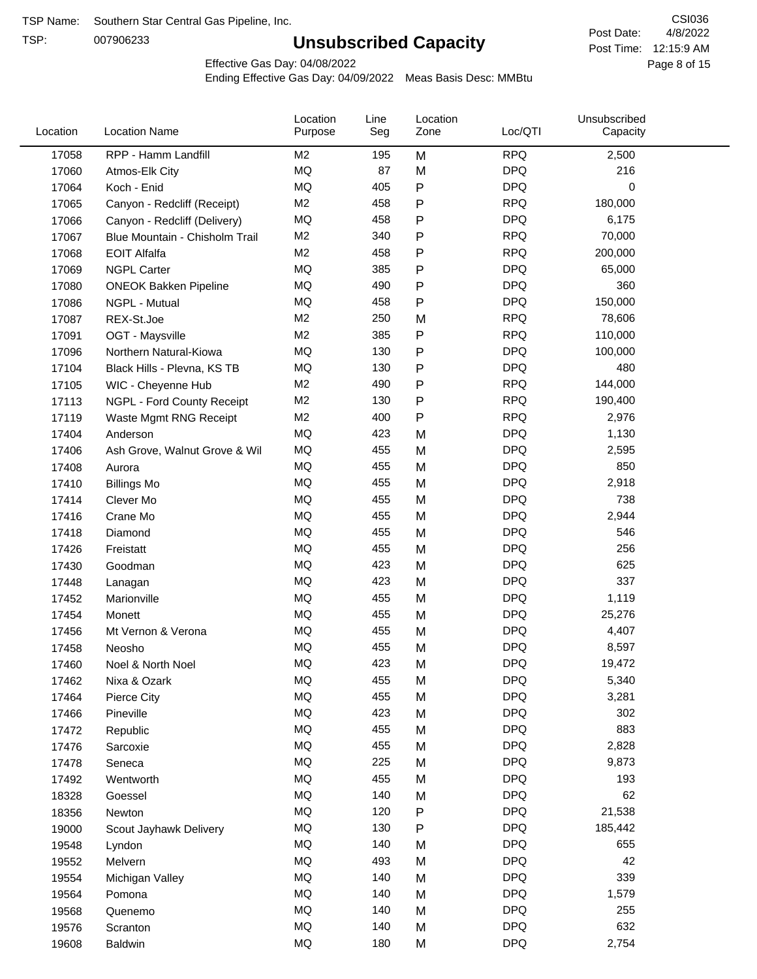TSP:

## **Unsubscribed Capacity**

4/8/2022 Page 8 of 15 Post Time: 12:15:9 AM CSI036 Post Date:

Effective Gas Day: 04/08/2022

| Location | <b>Location Name</b>           | Location<br>Purpose | Line<br>Seg | Location<br>Zone | Loc/QTI    | Unsubscribed<br>Capacity |  |
|----------|--------------------------------|---------------------|-------------|------------------|------------|--------------------------|--|
| 17058    | RPP - Hamm Landfill            | M <sub>2</sub>      | 195         | M                | <b>RPQ</b> | 2,500                    |  |
| 17060    | Atmos-Elk City                 | MQ                  | 87          | M                | <b>DPQ</b> | 216                      |  |
| 17064    | Koch - Enid                    | MQ                  | 405         | P                | <b>DPQ</b> | 0                        |  |
| 17065    | Canyon - Redcliff (Receipt)    | M <sub>2</sub>      | 458         | P                | <b>RPQ</b> | 180,000                  |  |
| 17066    | Canyon - Redcliff (Delivery)   | <b>MQ</b>           | 458         | P                | <b>DPQ</b> | 6,175                    |  |
| 17067    | Blue Mountain - Chisholm Trail | M <sub>2</sub>      | 340         | P                | <b>RPQ</b> | 70,000                   |  |
| 17068    | <b>EOIT Alfalfa</b>            | M <sub>2</sub>      | 458         | P                | <b>RPQ</b> | 200,000                  |  |
| 17069    | <b>NGPL Carter</b>             | MQ                  | 385         | P                | <b>DPQ</b> | 65,000                   |  |
| 17080    | <b>ONEOK Bakken Pipeline</b>   | MQ                  | 490         | P                | <b>DPQ</b> | 360                      |  |
| 17086    | NGPL - Mutual                  | MQ                  | 458         | P                | <b>DPQ</b> | 150,000                  |  |
| 17087    | REX-St.Joe                     | M <sub>2</sub>      | 250         | M                | <b>RPQ</b> | 78,606                   |  |
| 17091    | OGT - Maysville                | M <sub>2</sub>      | 385         | P                | <b>RPQ</b> | 110,000                  |  |
| 17096    | Northern Natural-Kiowa         | MQ                  | 130         | P                | <b>DPQ</b> | 100,000                  |  |
| 17104    | Black Hills - Plevna, KS TB    | MQ                  | 130         | P                | <b>DPQ</b> | 480                      |  |
| 17105    | WIC - Cheyenne Hub             | M <sub>2</sub>      | 490         | P                | <b>RPQ</b> | 144,000                  |  |
| 17113    | NGPL - Ford County Receipt     | M <sub>2</sub>      | 130         | P                | <b>RPQ</b> | 190,400                  |  |
| 17119    | Waste Mgmt RNG Receipt         | M <sub>2</sub>      | 400         | P                | <b>RPQ</b> | 2,976                    |  |
| 17404    | Anderson                       | MQ                  | 423         | M                | <b>DPQ</b> | 1,130                    |  |
| 17406    | Ash Grove, Walnut Grove & Wil  | MQ                  | 455         | M                | <b>DPQ</b> | 2,595                    |  |
| 17408    | Aurora                         | MQ                  | 455         | M                | <b>DPQ</b> | 850                      |  |
| 17410    | <b>Billings Mo</b>             | MQ                  | 455         | M                | <b>DPQ</b> | 2,918                    |  |
| 17414    | Clever Mo                      | MQ                  | 455         | M                | <b>DPQ</b> | 738                      |  |
| 17416    | Crane Mo                       | MQ                  | 455         | M                | <b>DPQ</b> | 2,944                    |  |
| 17418    | Diamond                        | MQ                  | 455         | M                | <b>DPQ</b> | 546                      |  |
| 17426    | Freistatt                      | MQ                  | 455         | M                | <b>DPQ</b> | 256                      |  |
| 17430    | Goodman                        | MQ                  | 423         | M                | <b>DPQ</b> | 625                      |  |
| 17448    | Lanagan                        | MQ                  | 423         | M                | <b>DPQ</b> | 337                      |  |
| 17452    | Marionville                    | MQ                  | 455         | M                | <b>DPQ</b> | 1,119                    |  |
| 17454    | Monett                         | MQ                  | 455         | M                | <b>DPQ</b> | 25,276                   |  |
| 17456    | Mt Vernon & Verona             | MQ                  | 455         | M                | <b>DPQ</b> | 4,407                    |  |
| 17458    | Neosho                         | <b>MQ</b>           | 455         | M                | <b>DPQ</b> | 8,597                    |  |
| 17460    | Noel & North Noel              | MQ                  | 423         | M                | <b>DPQ</b> | 19,472                   |  |
| 17462    | Nixa & Ozark                   | MQ                  | 455         | M                | <b>DPQ</b> | 5,340                    |  |
| 17464    | Pierce City                    | MQ                  | 455         | M                | <b>DPQ</b> | 3,281                    |  |
| 17466    | Pineville                      | MQ                  | 423         | M                | <b>DPQ</b> | 302                      |  |
| 17472    | Republic                       | MQ                  | 455         | M                | <b>DPQ</b> | 883                      |  |
| 17476    | Sarcoxie                       | MQ                  | 455         | M                | <b>DPQ</b> | 2,828                    |  |
| 17478    | Seneca                         | MQ                  | 225         | M                | <b>DPQ</b> | 9,873                    |  |
| 17492    | Wentworth                      | MQ                  | 455         | M                | <b>DPQ</b> | 193                      |  |
| 18328    | Goessel                        | MQ                  | 140         | M                | <b>DPQ</b> | 62                       |  |
| 18356    | Newton                         | MQ                  | 120         | P                | <b>DPQ</b> | 21,538                   |  |
| 19000    | Scout Jayhawk Delivery         | MQ                  | 130         | P                | <b>DPQ</b> | 185,442                  |  |
| 19548    | Lyndon                         | MQ                  | 140         | M                | <b>DPQ</b> | 655                      |  |
| 19552    | Melvern                        | MQ                  | 493         | M                | <b>DPQ</b> | 42                       |  |
| 19554    | Michigan Valley                | MQ                  | 140         | M                | <b>DPQ</b> | 339                      |  |
| 19564    | Pomona                         | MQ                  | 140         | M                | <b>DPQ</b> | 1,579                    |  |
| 19568    | Quenemo                        | MQ                  | 140         | M                | <b>DPQ</b> | 255                      |  |
| 19576    | Scranton                       | MQ                  | 140         | M                | <b>DPQ</b> | 632                      |  |
| 19608    | <b>Baldwin</b>                 | $\sf{MQ}$           | 180         | M                | <b>DPQ</b> | 2,754                    |  |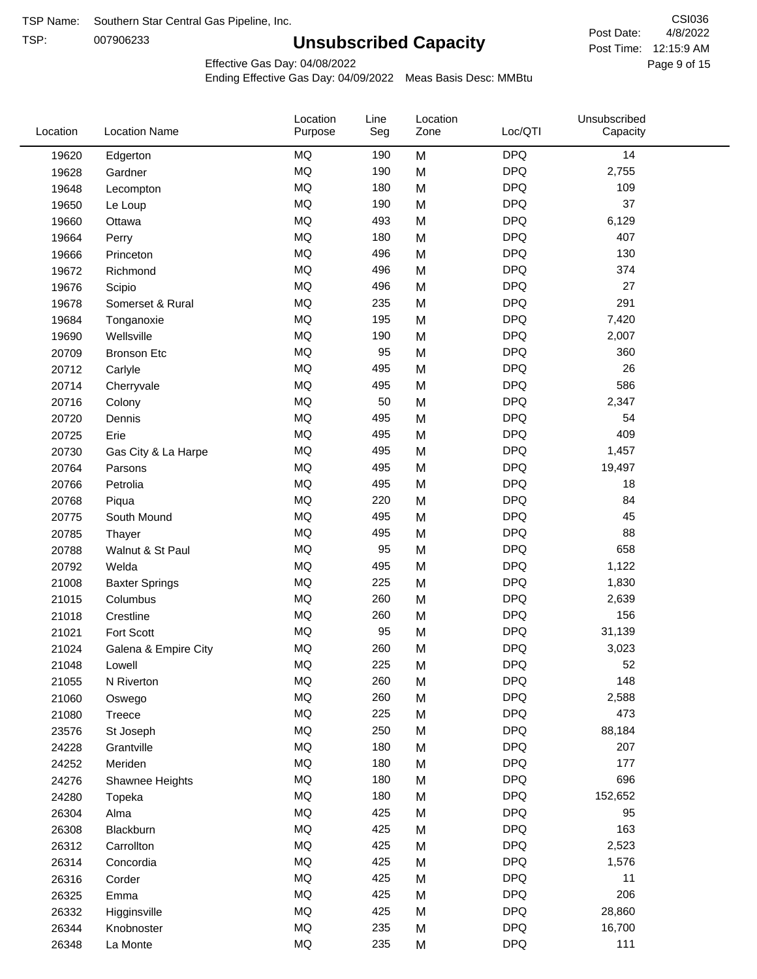TSP:

## **Unsubscribed Capacity**

4/8/2022 Page 9 of 15 Post Time: 12:15:9 AM CSI036 Post Date:

Effective Gas Day: 04/08/2022

| Location | <b>Location Name</b>  | Location<br>Purpose | Line<br>Seg | Location<br>Zone | Loc/QTI    | Unsubscribed<br>Capacity |  |
|----------|-----------------------|---------------------|-------------|------------------|------------|--------------------------|--|
| 19620    | Edgerton              | <b>MQ</b>           | 190         | M                | <b>DPQ</b> | 14                       |  |
| 19628    | Gardner               | <b>MQ</b>           | 190         | M                | <b>DPQ</b> | 2,755                    |  |
| 19648    | Lecompton             | <b>MQ</b>           | 180         | M                | <b>DPQ</b> | 109                      |  |
| 19650    | Le Loup               | <b>MQ</b>           | 190         | M                | <b>DPQ</b> | 37                       |  |
| 19660    | Ottawa                | <b>MQ</b>           | 493         | M                | <b>DPQ</b> | 6,129                    |  |
| 19664    | Perry                 | <b>MQ</b>           | 180         | M                | <b>DPQ</b> | 407                      |  |
| 19666    | Princeton             | <b>MQ</b>           | 496         | M                | <b>DPQ</b> | 130                      |  |
| 19672    | Richmond              | <b>MQ</b>           | 496         | M                | <b>DPQ</b> | 374                      |  |
| 19676    | Scipio                | <b>MQ</b>           | 496         | M                | <b>DPQ</b> | 27                       |  |
| 19678    | Somerset & Rural      | <b>MQ</b>           | 235         | M                | <b>DPQ</b> | 291                      |  |
| 19684    | Tonganoxie            | <b>MQ</b>           | 195         | M                | <b>DPQ</b> | 7,420                    |  |
| 19690    | Wellsville            | <b>MQ</b>           | 190         | M                | <b>DPQ</b> | 2,007                    |  |
| 20709    | <b>Bronson Etc</b>    | <b>MQ</b>           | 95          | M                | <b>DPQ</b> | 360                      |  |
| 20712    | Carlyle               | <b>MQ</b>           | 495         | M                | <b>DPQ</b> | 26                       |  |
| 20714    | Cherryvale            | <b>MQ</b>           | 495         | M                | <b>DPQ</b> | 586                      |  |
| 20716    | Colony                | <b>MQ</b>           | 50          | M                | <b>DPQ</b> | 2,347                    |  |
| 20720    | Dennis                | <b>MQ</b>           | 495         | M                | <b>DPQ</b> | 54                       |  |
| 20725    | Erie                  | <b>MQ</b>           | 495         | M                | <b>DPQ</b> | 409                      |  |
| 20730    | Gas City & La Harpe   | <b>MQ</b>           | 495         | M                | <b>DPQ</b> | 1,457                    |  |
| 20764    | Parsons               | <b>MQ</b>           | 495         | M                | <b>DPQ</b> | 19,497                   |  |
| 20766    | Petrolia              | <b>MQ</b>           | 495         | M                | <b>DPQ</b> | 18                       |  |
| 20768    | Piqua                 | <b>MQ</b>           | 220         | M                | <b>DPQ</b> | 84                       |  |
| 20775    | South Mound           | <b>MQ</b>           | 495         | M                | <b>DPQ</b> | 45                       |  |
| 20785    | Thayer                | <b>MQ</b>           | 495         | M                | <b>DPQ</b> | 88                       |  |
| 20788    | Walnut & St Paul      | <b>MQ</b>           | 95          | M                | <b>DPQ</b> | 658                      |  |
| 20792    | Welda                 | <b>MQ</b>           | 495         | M                | <b>DPQ</b> | 1,122                    |  |
| 21008    | <b>Baxter Springs</b> | <b>MQ</b>           | 225         | M                | <b>DPQ</b> | 1,830                    |  |
| 21015    | Columbus              | <b>MQ</b>           | 260         | M                | <b>DPQ</b> | 2,639                    |  |
| 21018    | Crestline             | <b>MQ</b>           | 260         | M                | <b>DPQ</b> | 156                      |  |
| 21021    | Fort Scott            | <b>MQ</b>           | 95          | M                | <b>DPQ</b> | 31,139                   |  |
| 21024    | Galena & Empire City  | <b>MQ</b>           | 260         | M                | <b>DPQ</b> | 3,023                    |  |
| 21048    | Lowell                | MQ                  | 225         | M                | <b>DPQ</b> | 52                       |  |
| 21055    | N Riverton            | MQ                  | 260         | M                | <b>DPQ</b> | 148                      |  |
| 21060    | Oswego                | $\sf{MQ}$           | 260         | M                | <b>DPQ</b> | 2,588                    |  |
| 21080    | Treece                | <b>MQ</b>           | 225         | M                | <b>DPQ</b> | 473                      |  |
| 23576    | St Joseph             | MQ                  | 250         | M                | <b>DPQ</b> | 88,184                   |  |
| 24228    | Grantville            | <b>MQ</b>           | 180         | M                | <b>DPQ</b> | 207                      |  |
| 24252    | Meriden               | MQ                  | 180         | M                | <b>DPQ</b> | 177                      |  |
| 24276    | Shawnee Heights       | $\sf{MQ}$           | 180         | M                | <b>DPQ</b> | 696                      |  |
| 24280    | Topeka                | MQ                  | 180         | M                | <b>DPQ</b> | 152,652                  |  |
| 26304    | Alma                  | MQ                  | 425         | M                | <b>DPQ</b> | 95                       |  |
| 26308    | Blackburn             | MQ                  | 425         | M                | <b>DPQ</b> | 163                      |  |
| 26312    | Carrollton            | <b>MQ</b>           | 425         | M                | <b>DPQ</b> | 2,523                    |  |
| 26314    | Concordia             | MQ                  | 425         | M                | <b>DPQ</b> | 1,576                    |  |
| 26316    | Corder                | MQ                  | 425         | M                | <b>DPQ</b> | 11                       |  |
| 26325    | Emma                  | MQ                  | 425         | M                | <b>DPQ</b> | 206                      |  |
| 26332    | Higginsville          | MQ                  | 425         | M                | <b>DPQ</b> | 28,860                   |  |
| 26344    | Knobnoster            | $\sf{MQ}$           | 235         | M                | <b>DPQ</b> | 16,700                   |  |
| 26348    | La Monte              | $\sf{MQ}$           | 235         | M                | <b>DPQ</b> | 111                      |  |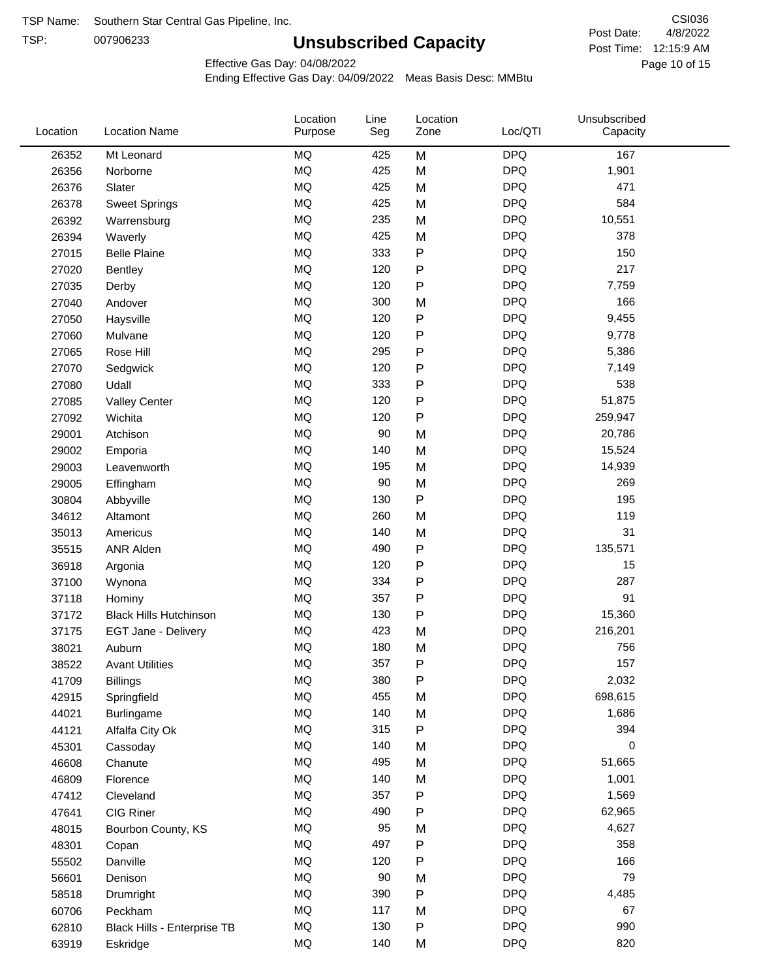TSP:

## **Unsubscribed Capacity**

4/8/2022 Page 10 of 15 Post Time: 12:15:9 AM CSI036 Post Date:

Unsubscribed

Effective Gas Day: 04/08/2022

Location

Ending Effective Gas Day: 04/09/2022 Meas Basis Desc: MMBtu

Line

Location

| Location | <b>Location Name</b>          | Purpose   | Seg | Zone         | Loc/QTI    | Capacity |  |
|----------|-------------------------------|-----------|-----|--------------|------------|----------|--|
| 26352    | Mt Leonard                    | MQ        | 425 | M            | <b>DPQ</b> | 167      |  |
| 26356    | Norborne                      | MQ        | 425 | M            | <b>DPQ</b> | 1,901    |  |
| 26376    | Slater                        | MQ        | 425 | M            | <b>DPQ</b> | 471      |  |
| 26378    | <b>Sweet Springs</b>          | MQ        | 425 | M            | <b>DPQ</b> | 584      |  |
| 26392    | Warrensburg                   | MQ        | 235 | M            | <b>DPQ</b> | 10,551   |  |
| 26394    | Waverly                       | <b>MQ</b> | 425 | M            | <b>DPQ</b> | 378      |  |
| 27015    | <b>Belle Plaine</b>           | MQ        | 333 | P            | <b>DPQ</b> | 150      |  |
| 27020    | <b>Bentley</b>                | MQ        | 120 | P            | <b>DPQ</b> | 217      |  |
| 27035    | Derby                         | MQ        | 120 | Ρ            | <b>DPQ</b> | 7,759    |  |
| 27040    | Andover                       | MQ        | 300 | M            | <b>DPQ</b> | 166      |  |
| 27050    | Haysville                     | MQ        | 120 | P            | <b>DPQ</b> | 9,455    |  |
| 27060    | Mulvane                       | MQ        | 120 | P            | <b>DPQ</b> | 9,778    |  |
| 27065    | Rose Hill                     | MQ        | 295 | P            | <b>DPQ</b> | 5,386    |  |
| 27070    | Sedgwick                      | MQ        | 120 | Ρ            | <b>DPQ</b> | 7,149    |  |
| 27080    | Udall                         | MQ        | 333 | P            | <b>DPQ</b> | 538      |  |
| 27085    | <b>Valley Center</b>          | MQ        | 120 | Ρ            | <b>DPQ</b> | 51,875   |  |
| 27092    | Wichita                       | MQ        | 120 | $\mathsf{P}$ | <b>DPQ</b> | 259,947  |  |
| 29001    | Atchison                      | MQ        | 90  | M            | <b>DPQ</b> | 20,786   |  |
| 29002    | Emporia                       | MQ        | 140 | M            | <b>DPQ</b> | 15,524   |  |
| 29003    | Leavenworth                   | MQ        | 195 | M            | <b>DPQ</b> | 14,939   |  |
| 29005    | Effingham                     | MQ        | 90  | M            | <b>DPQ</b> | 269      |  |
| 30804    | Abbyville                     | MQ        | 130 | P            | <b>DPQ</b> | 195      |  |
| 34612    | Altamont                      | MQ        | 260 | M            | <b>DPQ</b> | 119      |  |
| 35013    | Americus                      | MQ        | 140 | M            | <b>DPQ</b> | 31       |  |
| 35515    | <b>ANR Alden</b>              | MQ        | 490 | P            | <b>DPQ</b> | 135,571  |  |
| 36918    | Argonia                       | MQ        | 120 | P            | <b>DPQ</b> | 15       |  |
| 37100    | Wynona                        | MQ        | 334 | Ρ            | <b>DPQ</b> | 287      |  |
| 37118    | Hominy                        | MQ        | 357 | P            | <b>DPQ</b> | 91       |  |
| 37172    | <b>Black Hills Hutchinson</b> | MQ        | 130 | P            | <b>DPQ</b> | 15,360   |  |
| 37175    | <b>EGT Jane - Delivery</b>    | MQ        | 423 | M            | <b>DPQ</b> | 216,201  |  |
| 38021    | Auburn                        | MQ        | 180 | M            | <b>DPQ</b> | 756      |  |
| 38522    | <b>Avant Utilities</b>        | MQ        | 357 | P            | <b>DPQ</b> | 157      |  |
| 41709    | <b>Billings</b>               | MQ        | 380 | P            | <b>DPQ</b> | 2,032    |  |
| 42915    | Springfield                   | MQ        | 455 | M            | <b>DPQ</b> | 698,615  |  |
| 44021    | <b>Burlingame</b>             | MQ        | 140 | M            | <b>DPQ</b> | 1,686    |  |
| 44121    | Alfalfa City Ok               | MQ        | 315 | P            | <b>DPQ</b> | 394      |  |
| 45301    | Cassoday                      | MQ        | 140 | M            | <b>DPQ</b> | 0        |  |
| 46608    | Chanute                       | MQ        | 495 | M            | <b>DPQ</b> | 51,665   |  |
| 46809    | Florence                      | MQ        | 140 | M            | <b>DPQ</b> | 1,001    |  |
| 47412    | Cleveland                     | MQ        | 357 | P            | <b>DPQ</b> | 1,569    |  |
| 47641    | CIG Riner                     | MQ        | 490 | Ρ            | <b>DPQ</b> | 62,965   |  |
| 48015    | Bourbon County, KS            | MQ        | 95  | M            | <b>DPQ</b> | 4,627    |  |
| 48301    | Copan                         | MQ        | 497 | P            | <b>DPQ</b> | 358      |  |
| 55502    | Danville                      | MQ        | 120 | Ρ            | <b>DPQ</b> | 166      |  |
| 56601    | Denison                       | MQ        | 90  | M            | <b>DPQ</b> | 79       |  |
| 58518    | Drumright                     | MQ        | 390 | Ρ            | <b>DPQ</b> | 4,485    |  |
| 60706    | Peckham                       | MQ        | 117 | M            | <b>DPQ</b> | 67       |  |
| 62810    | Black Hills - Enterprise TB   | MQ        | 130 | P            | <b>DPQ</b> | 990      |  |
| 63919    | Eskridge                      | MQ        | 140 | M            | <b>DPQ</b> | 820      |  |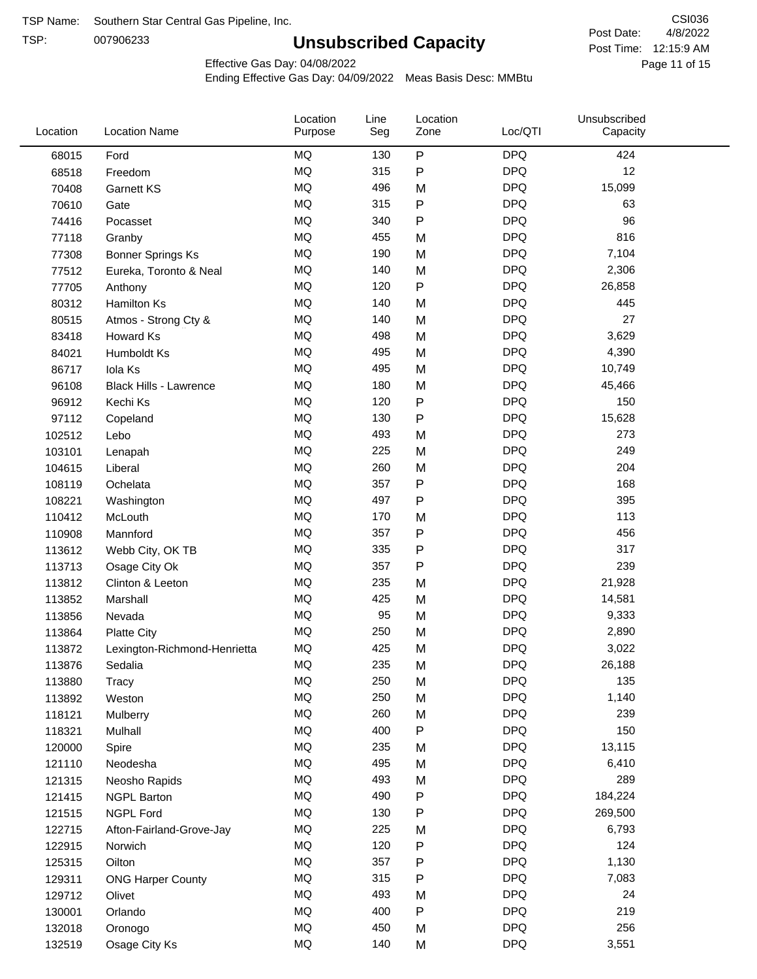TSP:

## **Unsubscribed Capacity**

4/8/2022 Page 11 of 15 Post Time: 12:15:9 AM CSI036 Post Date:

Effective Gas Day: 04/08/2022

| Location | <b>Location Name</b>          | Location<br>Purpose | Line<br>Seg | Location<br>Zone | Loc/QTI    | Unsubscribed<br>Capacity |  |
|----------|-------------------------------|---------------------|-------------|------------------|------------|--------------------------|--|
| 68015    | Ford                          | <b>MQ</b>           | 130         | ${\sf P}$        | <b>DPQ</b> | 424                      |  |
| 68518    | Freedom                       | MQ                  | 315         | ${\sf P}$        | <b>DPQ</b> | 12                       |  |
| 70408    | <b>Garnett KS</b>             | <b>MQ</b>           | 496         | M                | <b>DPQ</b> | 15,099                   |  |
| 70610    | Gate                          | <b>MQ</b>           | 315         | ${\sf P}$        | <b>DPQ</b> | 63                       |  |
| 74416    | Pocasset                      | <b>MQ</b>           | 340         | P                | <b>DPQ</b> | 96                       |  |
| 77118    | Granby                        | <b>MQ</b>           | 455         | M                | <b>DPQ</b> | 816                      |  |
| 77308    | <b>Bonner Springs Ks</b>      | MQ                  | 190         | M                | <b>DPQ</b> | 7,104                    |  |
| 77512    | Eureka, Toronto & Neal        | MQ                  | 140         | M                | <b>DPQ</b> | 2,306                    |  |
| 77705    | Anthony                       | <b>MQ</b>           | 120         | ${\sf P}$        | <b>DPQ</b> | 26,858                   |  |
| 80312    | <b>Hamilton Ks</b>            | <b>MQ</b>           | 140         | M                | <b>DPQ</b> | 445                      |  |
| 80515    | Atmos - Strong Cty &          | MQ                  | 140         | M                | <b>DPQ</b> | 27                       |  |
| 83418    | Howard Ks                     | <b>MQ</b>           | 498         | M                | <b>DPQ</b> | 3,629                    |  |
| 84021    | Humboldt Ks                   | <b>MQ</b>           | 495         | M                | <b>DPQ</b> | 4,390                    |  |
| 86717    | Iola Ks                       | <b>MQ</b>           | 495         | M                | <b>DPQ</b> | 10,749                   |  |
| 96108    | <b>Black Hills - Lawrence</b> | <b>MQ</b>           | 180         | M                | <b>DPQ</b> | 45,466                   |  |
| 96912    | Kechi Ks                      | MQ                  | 120         | ${\sf P}$        | <b>DPQ</b> | 150                      |  |
| 97112    | Copeland                      | <b>MQ</b>           | 130         | P                | <b>DPQ</b> | 15,628                   |  |
| 102512   | Lebo                          | <b>MQ</b>           | 493         | M                | <b>DPQ</b> | 273                      |  |
| 103101   | Lenapah                       | <b>MQ</b>           | 225         | M                | <b>DPQ</b> | 249                      |  |
| 104615   | Liberal                       | <b>MQ</b>           | 260         | M                | <b>DPQ</b> | 204                      |  |
| 108119   | Ochelata                      | <b>MQ</b>           | 357         | ${\sf P}$        | <b>DPQ</b> | 168                      |  |
| 108221   | Washington                    | <b>MQ</b>           | 497         | P                | <b>DPQ</b> | 395                      |  |
| 110412   | McLouth                       | <b>MQ</b>           | 170         | M                | <b>DPQ</b> | 113                      |  |
| 110908   | Mannford                      | <b>MQ</b>           | 357         | ${\sf P}$        | <b>DPQ</b> | 456                      |  |
| 113612   | Webb City, OK TB              | MQ                  | 335         | P                | <b>DPQ</b> | 317                      |  |
| 113713   | Osage City Ok                 | <b>MQ</b>           | 357         | P                | <b>DPQ</b> | 239                      |  |
| 113812   | Clinton & Leeton              | <b>MQ</b>           | 235         | M                | <b>DPQ</b> | 21,928                   |  |
| 113852   | Marshall                      | <b>MQ</b>           | 425         | M                | <b>DPQ</b> | 14,581                   |  |
| 113856   | Nevada                        | <b>MQ</b>           | 95          | M                | <b>DPQ</b> | 9,333                    |  |
| 113864   | <b>Platte City</b>            | MQ                  | 250         | M                | <b>DPQ</b> | 2,890                    |  |
| 113872   | Lexington-Richmond-Henrietta  | MQ                  | 425         | M                | <b>DPQ</b> | 3,022                    |  |
| 113876   | Sedalia                       | MQ                  | 235         | M                | <b>DPQ</b> | 26,188                   |  |
| 113880   | Tracy                         | MQ                  | 250         | M                | <b>DPQ</b> | 135                      |  |
| 113892   | Weston                        | MQ                  | 250         | M                | <b>DPQ</b> | 1,140                    |  |
| 118121   | Mulberry                      | MQ                  | 260         | M                | <b>DPQ</b> | 239                      |  |
| 118321   | Mulhall                       | MQ                  | 400         | P                | <b>DPQ</b> | 150                      |  |
| 120000   | Spire                         | MQ                  | 235         | M                | <b>DPQ</b> | 13,115                   |  |
| 121110   | Neodesha                      | MQ                  | 495         | M                | <b>DPQ</b> | 6,410                    |  |
| 121315   | Neosho Rapids                 | $\sf{MQ}$           | 493         | M                | <b>DPQ</b> | 289                      |  |
| 121415   | <b>NGPL Barton</b>            | MQ                  | 490         | P                | <b>DPQ</b> | 184,224                  |  |
| 121515   | <b>NGPL Ford</b>              | MQ                  | 130         | P                | <b>DPQ</b> | 269,500                  |  |
| 122715   | Afton-Fairland-Grove-Jay      | MQ                  | 225         | M                | <b>DPQ</b> | 6,793                    |  |
| 122915   | Norwich                       | MQ                  | 120         | P                | <b>DPQ</b> | 124                      |  |
| 125315   | Oilton                        | MQ                  | 357         | ${\sf P}$        | <b>DPQ</b> | 1,130                    |  |
| 129311   | <b>ONG Harper County</b>      | MQ                  | 315         | P                | <b>DPQ</b> | 7,083                    |  |
| 129712   | Olivet                        | MQ                  | 493         | M                | <b>DPQ</b> | 24                       |  |
| 130001   | Orlando                       | MQ                  | 400         | ${\sf P}$        | <b>DPQ</b> | 219                      |  |
| 132018   | Oronogo                       | $\sf{MQ}$           | 450         | M                | <b>DPQ</b> | 256                      |  |
| 132519   | Osage City Ks                 | $\sf{MQ}$           | 140         | M                | <b>DPQ</b> | 3,551                    |  |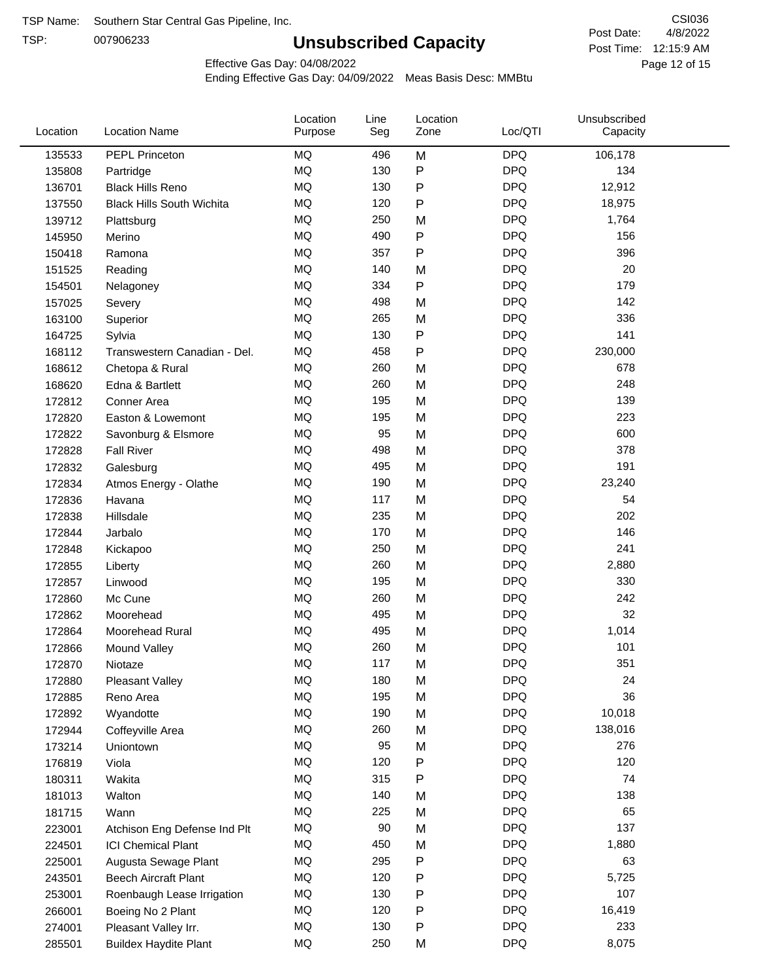TSP:

## **Unsubscribed Capacity**

4/8/2022 Page 12 of 15 Post Time: 12:15:9 AM CSI036 Post Date:

Effective Gas Day: 04/08/2022

| Location | <b>Location Name</b>             | Location<br>Purpose | Line<br>Seg | Location<br>Zone | Loc/QTI    | Unsubscribed<br>Capacity |  |
|----------|----------------------------------|---------------------|-------------|------------------|------------|--------------------------|--|
| 135533   | PEPL Princeton                   | <b>MQ</b>           | 496         | M                | <b>DPQ</b> | 106,178                  |  |
| 135808   | Partridge                        | MQ                  | 130         | P                | <b>DPQ</b> | 134                      |  |
| 136701   | <b>Black Hills Reno</b>          | MQ                  | 130         | P                | <b>DPQ</b> | 12,912                   |  |
| 137550   | <b>Black Hills South Wichita</b> | MQ                  | 120         | P                | <b>DPQ</b> | 18,975                   |  |
| 139712   | Plattsburg                       | <b>MQ</b>           | 250         | M                | <b>DPQ</b> | 1,764                    |  |
| 145950   | Merino                           | <b>MQ</b>           | 490         | P                | <b>DPQ</b> | 156                      |  |
| 150418   | Ramona                           | <b>MQ</b>           | 357         | P                | <b>DPQ</b> | 396                      |  |
| 151525   | Reading                          | <b>MQ</b>           | 140         | M                | <b>DPQ</b> | 20                       |  |
| 154501   | Nelagoney                        | MQ                  | 334         | P                | <b>DPQ</b> | 179                      |  |
| 157025   | Severy                           | <b>MQ</b>           | 498         | M                | <b>DPQ</b> | 142                      |  |
| 163100   | Superior                         | MQ                  | 265         | M                | <b>DPQ</b> | 336                      |  |
| 164725   | Sylvia                           | MQ                  | 130         | P                | <b>DPQ</b> | 141                      |  |
| 168112   | Transwestern Canadian - Del.     | MQ                  | 458         | P                | <b>DPQ</b> | 230,000                  |  |
| 168612   | Chetopa & Rural                  | <b>MQ</b>           | 260         | M                | <b>DPQ</b> | 678                      |  |
| 168620   | Edna & Bartlett                  | <b>MQ</b>           | 260         | M                | <b>DPQ</b> | 248                      |  |
| 172812   | Conner Area                      | <b>MQ</b>           | 195         | M                | <b>DPQ</b> | 139                      |  |
| 172820   | Easton & Lowemont                | MQ                  | 195         | M                | <b>DPQ</b> | 223                      |  |
| 172822   | Savonburg & Elsmore              | MQ                  | 95          | M                | <b>DPQ</b> | 600                      |  |
| 172828   | <b>Fall River</b>                | <b>MQ</b>           | 498         | M                | <b>DPQ</b> | 378                      |  |
| 172832   | Galesburg                        | MQ                  | 495         | M                | <b>DPQ</b> | 191                      |  |
| 172834   | Atmos Energy - Olathe            | MQ                  | 190         | M                | <b>DPQ</b> | 23,240                   |  |
| 172836   | Havana                           | <b>MQ</b>           | 117         | M                | <b>DPQ</b> | 54                       |  |
| 172838   | Hillsdale                        | <b>MQ</b>           | 235         | M                | <b>DPQ</b> | 202                      |  |
| 172844   | Jarbalo                          | <b>MQ</b>           | 170         | M                | <b>DPQ</b> | 146                      |  |
| 172848   | Kickapoo                         | <b>MQ</b>           | 250         | M                | <b>DPQ</b> | 241                      |  |
| 172855   | Liberty                          | MQ                  | 260         | M                | <b>DPQ</b> | 2,880                    |  |
| 172857   | Linwood                          | MQ                  | 195         | M                | <b>DPQ</b> | 330                      |  |
| 172860   | Mc Cune                          | <b>MQ</b>           | 260         | M                | <b>DPQ</b> | 242                      |  |
| 172862   | Moorehead                        | <b>MQ</b>           | 495         | M                | <b>DPQ</b> | 32                       |  |
| 172864   | Moorehead Rural                  | MQ                  | 495         | M                | <b>DPQ</b> | 1,014                    |  |
| 172866   | Mound Valley                     | <b>MQ</b>           | 260         | M                | <b>DPQ</b> | 101                      |  |
| 172870   | Niotaze                          | MQ                  | 117         | M                | <b>DPQ</b> | 351                      |  |
| 172880   | <b>Pleasant Valley</b>           | MQ                  | 180         | M                | <b>DPQ</b> | 24                       |  |
| 172885   | Reno Area                        | MQ                  | 195         | M                | <b>DPQ</b> | 36                       |  |
| 172892   | Wyandotte                        | MQ                  | 190         | M                | <b>DPQ</b> | 10,018                   |  |
| 172944   | Coffeyville Area                 | $\sf{MQ}$           | 260         | M                | <b>DPQ</b> | 138,016                  |  |
| 173214   | Uniontown                        | MQ                  | 95          | M                | <b>DPQ</b> | 276                      |  |
| 176819   | Viola                            | MQ                  | 120         | P                | <b>DPQ</b> | 120                      |  |
| 180311   | Wakita                           | MQ                  | 315         | P                | <b>DPQ</b> | 74                       |  |
| 181013   | Walton                           | MQ                  | 140         | M                | <b>DPQ</b> | 138                      |  |
| 181715   | Wann                             | MQ                  | 225         | M                | <b>DPQ</b> | 65                       |  |
| 223001   | Atchison Eng Defense Ind Plt     | MQ                  | 90          | M                | <b>DPQ</b> | 137                      |  |
| 224501   | <b>ICI Chemical Plant</b>        | MQ                  | 450         | M                | <b>DPQ</b> | 1,880                    |  |
| 225001   | Augusta Sewage Plant             | MQ                  | 295         | P                | <b>DPQ</b> | 63                       |  |
| 243501   | <b>Beech Aircraft Plant</b>      | MQ                  | 120         | P                | <b>DPQ</b> | 5,725                    |  |
| 253001   | Roenbaugh Lease Irrigation       | MQ                  | 130         | Ρ                | <b>DPQ</b> | 107                      |  |
| 266001   | Boeing No 2 Plant                | MQ                  | 120         | Ρ                | <b>DPQ</b> | 16,419                   |  |
| 274001   | Pleasant Valley Irr.             | MQ                  | 130         | P                | <b>DPQ</b> | 233                      |  |
| 285501   | <b>Buildex Haydite Plant</b>     | MQ                  | 250         | M                | <b>DPQ</b> | 8,075                    |  |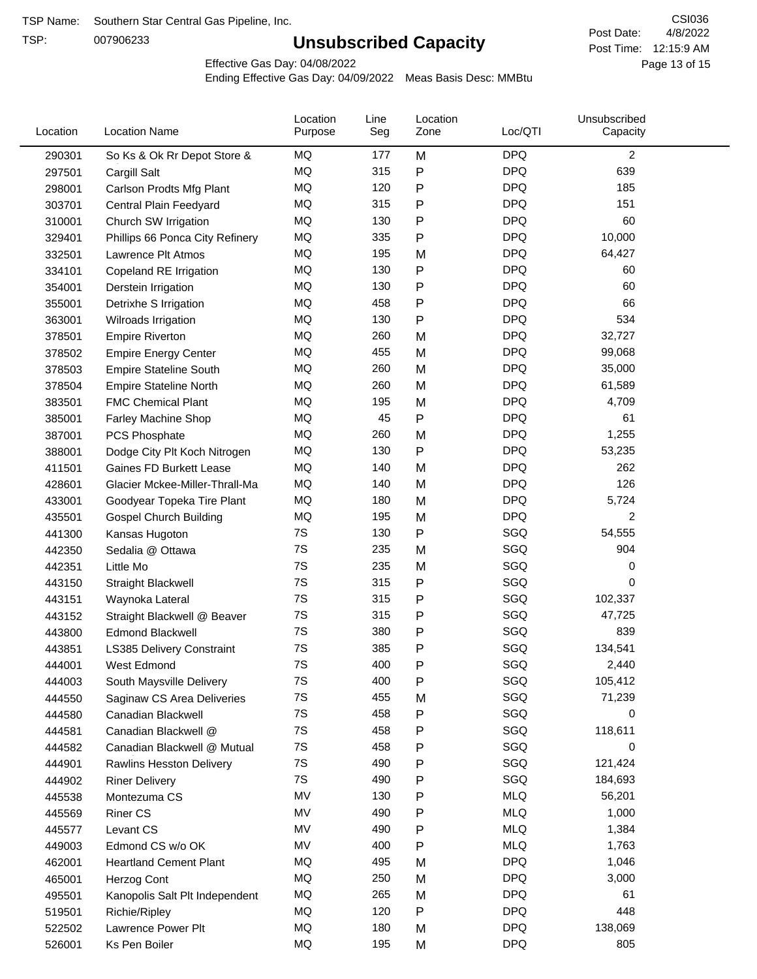TSP:

## **Unsubscribed Capacity**

4/8/2022 Page 13 of 15 Post Time: 12:15:9 AM CSI036 Post Date:

Effective Gas Day: 04/08/2022

| Location | <b>Location Name</b>            | Location<br>Purpose | Line<br>Seg | Location<br>Zone | Loc/QTI    | Unsubscribed<br>Capacity |  |
|----------|---------------------------------|---------------------|-------------|------------------|------------|--------------------------|--|
| 290301   | So Ks & Ok Rr Depot Store &     | MQ                  | 177         | M                | <b>DPQ</b> | $\overline{c}$           |  |
| 297501   | Cargill Salt                    | <b>MQ</b>           | 315         | P                | <b>DPQ</b> | 639                      |  |
| 298001   | Carlson Prodts Mfg Plant        | <b>MQ</b>           | 120         | P                | <b>DPQ</b> | 185                      |  |
| 303701   | Central Plain Feedyard          | <b>MQ</b>           | 315         | P                | <b>DPQ</b> | 151                      |  |
| 310001   | Church SW Irrigation            | <b>MQ</b>           | 130         | P                | <b>DPQ</b> | 60                       |  |
| 329401   | Phillips 66 Ponca City Refinery | MQ                  | 335         | P                | <b>DPQ</b> | 10,000                   |  |
| 332501   | Lawrence Plt Atmos              | MQ                  | 195         | M                | <b>DPQ</b> | 64,427                   |  |
| 334101   | Copeland RE Irrigation          | <b>MQ</b>           | 130         | P                | <b>DPQ</b> | 60                       |  |
| 354001   | Derstein Irrigation             | MQ                  | 130         | P                | <b>DPQ</b> | 60                       |  |
| 355001   | Detrixhe S Irrigation           | MQ                  | 458         | $\mathsf{P}$     | <b>DPQ</b> | 66                       |  |
| 363001   | Wilroads Irrigation             | MQ                  | 130         | P                | <b>DPQ</b> | 534                      |  |
| 378501   | <b>Empire Riverton</b>          | MQ                  | 260         | M                | <b>DPQ</b> | 32,727                   |  |
| 378502   | <b>Empire Energy Center</b>     | MQ                  | 455         | M                | <b>DPQ</b> | 99,068                   |  |
| 378503   | <b>Empire Stateline South</b>   | MQ                  | 260         | M                | <b>DPQ</b> | 35,000                   |  |
| 378504   | <b>Empire Stateline North</b>   | MQ                  | 260         | M                | <b>DPQ</b> | 61,589                   |  |
| 383501   | <b>FMC Chemical Plant</b>       | MQ                  | 195         | M                | <b>DPQ</b> | 4,709                    |  |
| 385001   | Farley Machine Shop             | MQ                  | 45          | $\mathsf{P}$     | <b>DPQ</b> | 61                       |  |
| 387001   | PCS Phosphate                   | <b>MQ</b>           | 260         | M                | <b>DPQ</b> | 1,255                    |  |
| 388001   | Dodge City Plt Koch Nitrogen    | MQ                  | 130         | P                | <b>DPQ</b> | 53,235                   |  |
| 411501   | Gaines FD Burkett Lease         | MQ                  | 140         | M                | <b>DPQ</b> | 262                      |  |
| 428601   | Glacier Mckee-Miller-Thrall-Ma  | MQ                  | 140         | M                | <b>DPQ</b> | 126                      |  |
| 433001   | Goodyear Topeka Tire Plant      | MQ                  | 180         | M                | <b>DPQ</b> | 5,724                    |  |
| 435501   | <b>Gospel Church Building</b>   | MQ                  | 195         | M                | <b>DPQ</b> | $\overline{c}$           |  |
| 441300   | Kansas Hugoton                  | 7S                  | 130         | $\mathsf{P}$     | SGQ        | 54,555                   |  |
| 442350   | Sedalia @ Ottawa                | 7S                  | 235         | M                | SGQ        | 904                      |  |
| 442351   | Little Mo                       | 7S                  | 235         | M                | SGQ        | 0                        |  |
| 443150   | <b>Straight Blackwell</b>       | 7S                  | 315         | P                | SGQ        | 0                        |  |
| 443151   | Waynoka Lateral                 | 7S                  | 315         | P                | SGQ        | 102,337                  |  |
| 443152   | Straight Blackwell @ Beaver     | 7S                  | 315         | P                | SGQ        | 47,725                   |  |
| 443800   | <b>Edmond Blackwell</b>         | 7S                  | 380         | P                | SGQ        | 839                      |  |
| 443851   | LS385 Delivery Constraint       | 7S                  | 385         | P                | SGQ        | 134,541                  |  |
| 444001   | West Edmond                     | 7S                  | 400         | P                | SGQ        | 2,440                    |  |
| 444003   | South Maysville Delivery        | 7S                  | 400         | P                | SGQ        | 105,412                  |  |
| 444550   | Saginaw CS Area Deliveries      | 7S                  | 455         | M                | SGQ        | 71,239                   |  |
| 444580   | Canadian Blackwell              | 7S                  | 458         | P                | SGQ        | 0                        |  |
| 444581   | Canadian Blackwell @            | 7S                  | 458         | P                | SGQ        | 118,611                  |  |
| 444582   | Canadian Blackwell @ Mutual     | 7S                  | 458         | P                | SGQ        | 0                        |  |
| 444901   | <b>Rawlins Hesston Delivery</b> | 7S                  | 490         | P                | SGQ        | 121,424                  |  |
| 444902   | <b>Riner Delivery</b>           | 7S                  | 490         | P                | SGQ        | 184,693                  |  |
| 445538   | Montezuma CS                    | MV                  | 130         | P                | <b>MLQ</b> | 56,201                   |  |
| 445569   | <b>Riner CS</b>                 | MV                  | 490         | P                | <b>MLQ</b> | 1,000                    |  |
| 445577   | Levant CS                       | MV                  | 490         | P                | <b>MLQ</b> | 1,384                    |  |
| 449003   | Edmond CS w/o OK                | MV                  | 400         | P                | <b>MLQ</b> | 1,763                    |  |
| 462001   | <b>Heartland Cement Plant</b>   | MQ                  | 495         | M                | <b>DPQ</b> | 1,046                    |  |
| 465001   | Herzog Cont                     | MQ                  | 250         | M                | <b>DPQ</b> | 3,000                    |  |
| 495501   | Kanopolis Salt Plt Independent  | MQ                  | 265         | M                | <b>DPQ</b> | 61                       |  |
| 519501   | Richie/Ripley                   | MQ                  | 120         | $\mathsf{P}$     | <b>DPQ</b> | 448                      |  |
| 522502   | Lawrence Power Plt              | MQ                  | 180         | M                | <b>DPQ</b> | 138,069                  |  |
| 526001   | Ks Pen Boiler                   | MQ                  | 195         | M                | <b>DPQ</b> | 805                      |  |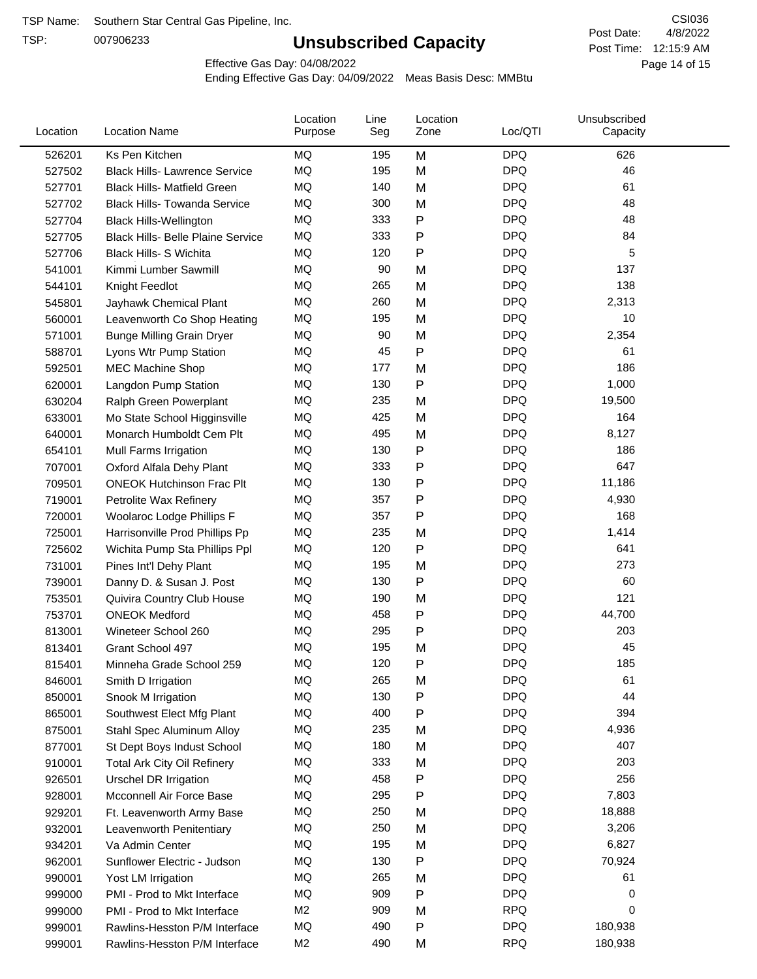TSP:

## **Unsubscribed Capacity**

4/8/2022 Page 14 of 15 Post Time: 12:15:9 AM CSI036 Post Date:

Effective Gas Day: 04/08/2022

| Location | <b>Location Name</b>                     | Location<br>Purpose | Line<br>Seg | Location<br>Zone | Loc/QTI    | Unsubscribed<br>Capacity |  |
|----------|------------------------------------------|---------------------|-------------|------------------|------------|--------------------------|--|
| 526201   | Ks Pen Kitchen                           | MQ                  | 195         | M                | <b>DPQ</b> | 626                      |  |
| 527502   | <b>Black Hills- Lawrence Service</b>     | MQ                  | 195         | M                | <b>DPQ</b> | 46                       |  |
| 527701   | <b>Black Hills- Matfield Green</b>       | MQ                  | 140         | M                | <b>DPQ</b> | 61                       |  |
| 527702   | <b>Black Hills- Towanda Service</b>      | <b>MQ</b>           | 300         | M                | <b>DPQ</b> | 48                       |  |
| 527704   | <b>Black Hills-Wellington</b>            | MQ                  | 333         | Ρ                | <b>DPQ</b> | 48                       |  |
| 527705   | <b>Black Hills- Belle Plaine Service</b> | MQ                  | 333         | P                | <b>DPQ</b> | 84                       |  |
| 527706   | <b>Black Hills- S Wichita</b>            | MQ                  | 120         | P                | <b>DPQ</b> | 5                        |  |
| 541001   | Kimmi Lumber Sawmill                     | MQ                  | 90          | M                | <b>DPQ</b> | 137                      |  |
| 544101   | Knight Feedlot                           | <b>MQ</b>           | 265         | M                | <b>DPQ</b> | 138                      |  |
| 545801   | Jayhawk Chemical Plant                   | MQ                  | 260         | M                | <b>DPQ</b> | 2,313                    |  |
| 560001   | Leavenworth Co Shop Heating              | MQ                  | 195         | M                | <b>DPQ</b> | 10                       |  |
| 571001   | <b>Bunge Milling Grain Dryer</b>         | MQ                  | 90          | M                | <b>DPQ</b> | 2,354                    |  |
| 588701   | Lyons Wtr Pump Station                   | <b>MQ</b>           | 45          | P                | <b>DPQ</b> | 61                       |  |
| 592501   | <b>MEC Machine Shop</b>                  | MQ                  | 177         | M                | <b>DPQ</b> | 186                      |  |
| 620001   | Langdon Pump Station                     | MQ                  | 130         | P                | <b>DPQ</b> | 1,000                    |  |
| 630204   | Ralph Green Powerplant                   | MQ                  | 235         | M                | <b>DPQ</b> | 19,500                   |  |
| 633001   | Mo State School Higginsville             | MQ                  | 425         | M                | <b>DPQ</b> | 164                      |  |
| 640001   | Monarch Humboldt Cem Plt                 | <b>MQ</b>           | 495         | M                | <b>DPQ</b> | 8,127                    |  |
| 654101   | Mull Farms Irrigation                    | MQ                  | 130         | Ρ                | <b>DPQ</b> | 186                      |  |
| 707001   | Oxford Alfala Dehy Plant                 | MQ                  | 333         | P                | <b>DPQ</b> | 647                      |  |
| 709501   | <b>ONEOK Hutchinson Frac Plt</b>         | MQ                  | 130         | Ρ                | <b>DPQ</b> | 11,186                   |  |
| 719001   | Petrolite Wax Refinery                   | <b>MQ</b>           | 357         | P                | <b>DPQ</b> | 4,930                    |  |
| 720001   | Woolaroc Lodge Phillips F                | MQ                  | 357         | Ρ                | <b>DPQ</b> | 168                      |  |
| 725001   | Harrisonville Prod Phillips Pp           | MQ                  | 235         | M                | <b>DPQ</b> | 1,414                    |  |
| 725602   | Wichita Pump Sta Phillips Ppl            | MQ                  | 120         | P                | <b>DPQ</b> | 641                      |  |
| 731001   | Pines Int'l Dehy Plant                   | MQ                  | 195         | M                | <b>DPQ</b> | 273                      |  |
| 739001   | Danny D. & Susan J. Post                 | MQ                  | 130         | P                | <b>DPQ</b> | 60                       |  |
| 753501   | Quivira Country Club House               | MQ                  | 190         | M                | <b>DPQ</b> | 121                      |  |
| 753701   | <b>ONEOK Medford</b>                     | MQ                  | 458         | P                | <b>DPQ</b> | 44,700                   |  |
| 813001   | Wineteer School 260                      | MQ                  | 295         | P                | <b>DPQ</b> | 203                      |  |
| 813401   | Grant School 497                         | MQ                  | 195         | M                | <b>DPQ</b> | 45                       |  |
| 815401   | Minneha Grade School 259                 | MQ                  | 120         | Ρ                | <b>DPQ</b> | 185                      |  |
| 846001   | Smith D Irrigation                       | ΜQ                  | 265         | M                | <b>DPQ</b> | 61                       |  |
| 850001   | Snook M Irrigation                       | MQ                  | 130         | P                | <b>DPQ</b> | 44                       |  |
| 865001   | Southwest Elect Mfg Plant                | MQ                  | 400         | P                | <b>DPQ</b> | 394                      |  |
| 875001   | Stahl Spec Aluminum Alloy                | MQ                  | 235         | M                | <b>DPQ</b> | 4,936                    |  |
| 877001   | St Dept Boys Indust School               | MQ                  | 180         | M                | <b>DPQ</b> | 407                      |  |
| 910001   | <b>Total Ark City Oil Refinery</b>       | MQ                  | 333         | M                | <b>DPQ</b> | 203                      |  |
| 926501   | <b>Urschel DR Irrigation</b>             | MQ                  | 458         | P                | <b>DPQ</b> | 256                      |  |
| 928001   | Mcconnell Air Force Base                 | MQ                  | 295         | P                | <b>DPQ</b> | 7,803                    |  |
| 929201   | Ft. Leavenworth Army Base                | MQ                  | 250         | M                | <b>DPQ</b> | 18,888                   |  |
| 932001   | Leavenworth Penitentiary                 | MQ                  | 250         | M                | <b>DPQ</b> | 3,206                    |  |
| 934201   | Va Admin Center                          | MQ                  | 195         | M                | <b>DPQ</b> | 6,827                    |  |
| 962001   | Sunflower Electric - Judson              | MQ                  | 130         | P                | <b>DPQ</b> | 70,924                   |  |
| 990001   | Yost LM Irrigation                       | MQ                  | 265         | M                | <b>DPQ</b> | 61                       |  |
| 999000   | PMI - Prod to Mkt Interface              | MQ                  | 909         | P                | <b>DPQ</b> | 0                        |  |
| 999000   | PMI - Prod to Mkt Interface              | M <sub>2</sub>      | 909         | M                | <b>RPQ</b> | 0                        |  |
| 999001   | Rawlins-Hesston P/M Interface            | MQ                  | 490         | P                | <b>DPQ</b> | 180,938                  |  |
| 999001   | Rawlins-Hesston P/M Interface            | M <sub>2</sub>      | 490         | M                | <b>RPQ</b> | 180,938                  |  |